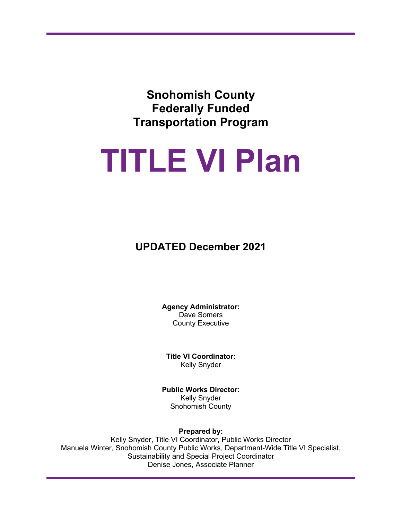**Snohomish County Federally Funded Transportation Program**

# **TITLE VI Plan**

**UPDATED December 2021**

**Agency Administrator:** Dave Somers County Executive

**Title VI Coordinator:** Kelly Snyder

**Public Works Director:** Kelly Snyder Snohomish County

**Prepared by:**

Kelly Snyder, Title VI Coordinator, Public Works Director Manuela Winter, Snohomish County Public Works, Department-Wide Title VI Specialist, Sustainability and Special Project Coordinator Denise Jones, Associate Planner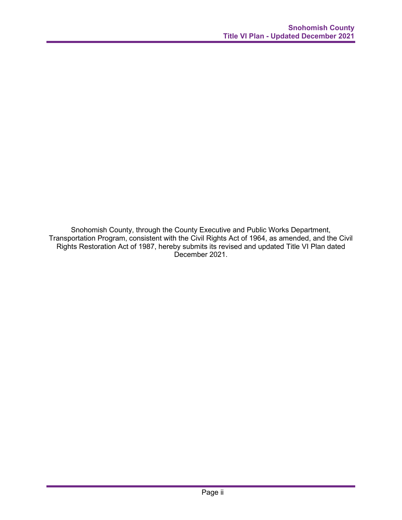Snohomish County, through the County Executive and Public Works Department, Transportation Program, consistent with the Civil Rights Act of 1964, as amended, and the Civil Rights Restoration Act of 1987, hereby submits its revised and updated Title VI Plan dated December 2021.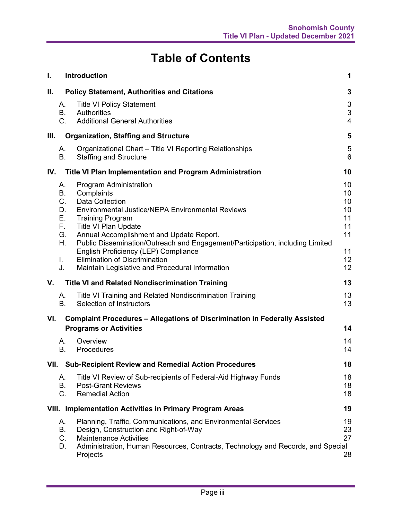## **Table of Contents**

| I.                                                                                                                              | Introduction                                                 |                                                                                                                                                                                                                                                                                                                                                                                                                                                     |                                                          |  |  |
|---------------------------------------------------------------------------------------------------------------------------------|--------------------------------------------------------------|-----------------------------------------------------------------------------------------------------------------------------------------------------------------------------------------------------------------------------------------------------------------------------------------------------------------------------------------------------------------------------------------------------------------------------------------------------|----------------------------------------------------------|--|--|
| Ⅱ.                                                                                                                              | 3<br><b>Policy Statement, Authorities and Citations</b>      |                                                                                                                                                                                                                                                                                                                                                                                                                                                     |                                                          |  |  |
|                                                                                                                                 | А.<br><b>B.</b><br>$C_{1}$                                   | <b>Title VI Policy Statement</b><br>Authorities<br><b>Additional General Authorities</b>                                                                                                                                                                                                                                                                                                                                                            | 3<br>$\ensuremath{\mathsf{3}}$<br>4                      |  |  |
| Ш.                                                                                                                              | 5<br><b>Organization, Staffing and Structure</b>             |                                                                                                                                                                                                                                                                                                                                                                                                                                                     |                                                          |  |  |
|                                                                                                                                 | А.<br>В.                                                     | Organizational Chart - Title VI Reporting Relationships<br><b>Staffing and Structure</b>                                                                                                                                                                                                                                                                                                                                                            | 5<br>6                                                   |  |  |
| IV.                                                                                                                             |                                                              | <b>Title VI Plan Implementation and Program Administration</b>                                                                                                                                                                                                                                                                                                                                                                                      | 10                                                       |  |  |
|                                                                                                                                 | А.<br>В.<br>C.<br>D.<br>E.<br>F.<br>G.<br>Η.<br>L.<br>J.     | <b>Program Administration</b><br>Complaints<br><b>Data Collection</b><br>Environmental Justice/NEPA Environmental Reviews<br><b>Training Program</b><br><b>Title VI Plan Update</b><br>Annual Accomplishment and Update Report.<br>Public Dissemination/Outreach and Engagement/Participation, including Limited<br>English Proficiency (LEP) Compliance<br><b>Elimination of Discrimination</b><br>Maintain Legislative and Procedural Information | 10<br>10<br>10<br>10<br>11<br>11<br>11<br>11<br>12<br>12 |  |  |
| V.                                                                                                                              | 13<br><b>Title VI and Related Nondiscrimination Training</b> |                                                                                                                                                                                                                                                                                                                                                                                                                                                     |                                                          |  |  |
|                                                                                                                                 | А.<br>B.                                                     | Title VI Training and Related Nondiscrimination Training<br>Selection of Instructors                                                                                                                                                                                                                                                                                                                                                                | 13<br>13                                                 |  |  |
| <b>Complaint Procedures - Allegations of Discrimination in Federally Assisted</b><br>VI.<br><b>Programs or Activities</b><br>14 |                                                              |                                                                                                                                                                                                                                                                                                                                                                                                                                                     |                                                          |  |  |
|                                                                                                                                 | А.<br>B.                                                     | Overview<br>Procedures                                                                                                                                                                                                                                                                                                                                                                                                                              | 14<br>14                                                 |  |  |
| 18<br><b>Sub-Recipient Review and Remedial Action Procedures</b><br>VII.                                                        |                                                              |                                                                                                                                                                                                                                                                                                                                                                                                                                                     |                                                          |  |  |
|                                                                                                                                 | А.<br>В.<br>C.                                               | Title VI Review of Sub-recipients of Federal-Aid Highway Funds<br><b>Post-Grant Reviews</b><br><b>Remedial Action</b>                                                                                                                                                                                                                                                                                                                               | 18<br>18<br>18                                           |  |  |
| 19<br><b>VIII. Implementation Activities in Primary Program Areas</b>                                                           |                                                              |                                                                                                                                                                                                                                                                                                                                                                                                                                                     |                                                          |  |  |
|                                                                                                                                 | А.<br>В.<br>C.<br>D.                                         | Planning, Traffic, Communications, and Environmental Services<br>Design, Construction and Right-of-Way<br><b>Maintenance Activities</b><br>Administration, Human Resources, Contracts, Technology and Records, and Special<br>Projects                                                                                                                                                                                                              | 19<br>23<br>27<br>28                                     |  |  |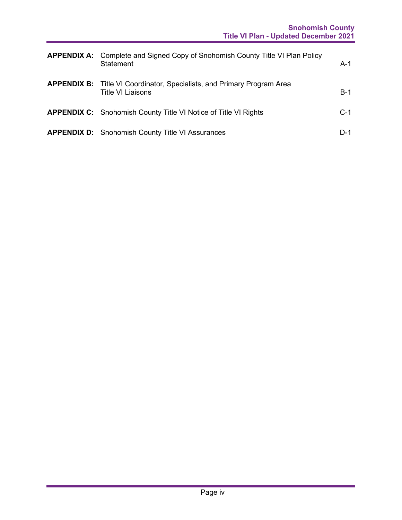| <b>APPENDIX A:</b> Complete and Signed Copy of Snohomish County Title VI Plan Policy<br>Statement   | $A-1$ |
|-----------------------------------------------------------------------------------------------------|-------|
| <b>APPENDIX B:</b> Title VI Coordinator, Specialists, and Primary Program Area<br>Title VI Liaisons | $B-1$ |
| <b>APPENDIX C:</b> Snohomish County Title VI Notice of Title VI Rights                              | $C-1$ |
| <b>APPENDIX D:</b> Snohomish County Title VI Assurances                                             | D-1   |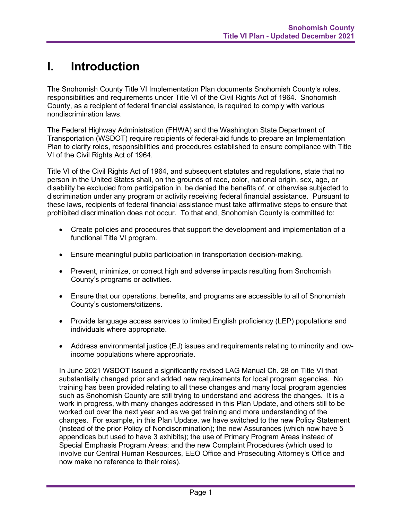## <span id="page-4-0"></span>**I. Introduction**

The Snohomish County Title VI Implementation Plan documents Snohomish County's roles, responsibilities and requirements under Title VI of the Civil Rights Act of 1964. Snohomish County, as a recipient of federal financial assistance, is required to comply with various nondiscrimination laws.

The Federal Highway Administration (FHWA) and the Washington State Department of Transportation (WSDOT) require recipients of federal-aid funds to prepare an Implementation Plan to clarify roles, responsibilities and procedures established to ensure compliance with Title VI of the Civil Rights Act of 1964.

Title VI of the Civil Rights Act of 1964, and subsequent statutes and regulations, state that no person in the United States shall, on the grounds of race, color, national origin, sex, age, or disability be excluded from participation in, be denied the benefits of, or otherwise subjected to discrimination under any program or activity receiving federal financial assistance. Pursuant to these laws, recipients of federal financial assistance must take affirmative steps to ensure that prohibited discrimination does not occur. To that end, Snohomish County is committed to:

- Create policies and procedures that support the development and implementation of a functional Title VI program.
- Ensure meaningful public participation in transportation decision-making.
- Prevent, minimize, or correct high and adverse impacts resulting from Snohomish County's programs or activities.
- Ensure that our operations, benefits, and programs are accessible to all of Snohomish County's customers/citizens.
- Provide language access services to limited English proficiency (LEP) populations and individuals where appropriate.
- Address environmental justice (EJ) issues and requirements relating to minority and lowincome populations where appropriate.

In June 2021 WSDOT issued a significantly revised LAG Manual Ch. 28 on Title VI that substantially changed prior and added new requirements for local program agencies. No training has been provided relating to all these changes and many local program agencies such as Snohomish County are still trying to understand and address the changes. It is a work in progress, with many changes addressed in this Plan Update, and others still to be worked out over the next year and as we get training and more understanding of the changes. For example, in this Plan Update, we have switched to the new Policy Statement (instead of the prior Policy of Nondiscrimination); the new Assurances (which now have 5 appendices but used to have 3 exhibits); the use of Primary Program Areas instead of Special Emphasis Program Areas; and the new Complaint Procedures (which used to involve our Central Human Resources, EEO Office and Prosecuting Attorney's Office and now make no reference to their roles).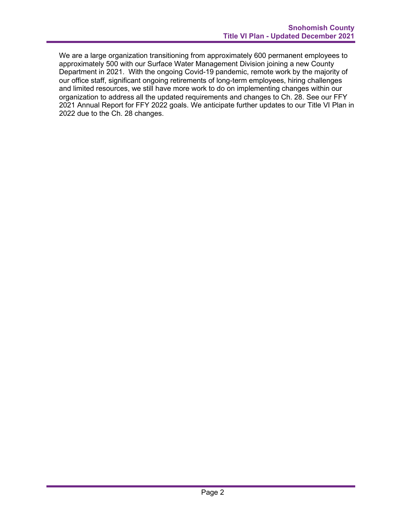We are a large organization transitioning from approximately 600 permanent employees to approximately 500 with our Surface Water Management Division joining a new County Department in 2021. With the ongoing Covid-19 pandemic, remote work by the majority of our office staff, significant ongoing retirements of long-term employees, hiring challenges and limited resources, we still have more work to do on implementing changes within our organization to address all the updated requirements and changes to Ch. 28. See our FFY 2021 Annual Report for FFY 2022 goals. We anticipate further updates to our Title VI Plan in 2022 due to the Ch. 28 changes.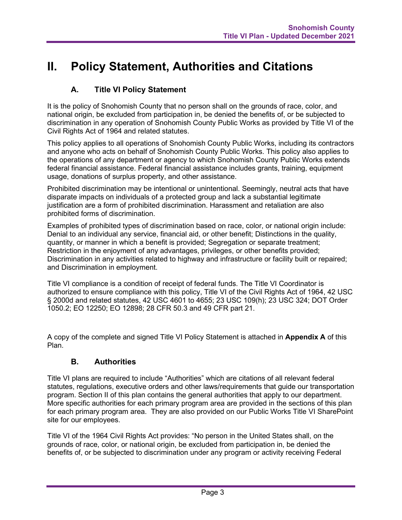## <span id="page-6-0"></span>**II. Policy Statement, Authorities and Citations**

#### **A. Title VI Policy Statement**

<span id="page-6-1"></span>It is the policy of Snohomish County that no person shall on the grounds of race, color, and national origin, be excluded from participation in, be denied the benefits of, or be subjected to discrimination in any operation of Snohomish County Public Works as provided by Title VI of the Civil Rights Act of 1964 and related statutes.

This policy applies to all operations of Snohomish County Public Works, including its contractors and anyone who acts on behalf of Snohomish County Public Works. This policy also applies to the operations of any department or agency to which Snohomish County Public Works extends federal financial assistance. Federal financial assistance includes grants, training, equipment usage, donations of surplus property, and other assistance.

Prohibited discrimination may be intentional or unintentional. Seemingly, neutral acts that have disparate impacts on individuals of a protected group and lack a substantial legitimate justification are a form of prohibited discrimination. Harassment and retaliation are also prohibited forms of discrimination.

Examples of prohibited types of discrimination based on race, color, or national origin include: Denial to an individual any service, financial aid, or other benefit; Distinctions in the quality, quantity, or manner in which a benefit is provided; Segregation or separate treatment; Restriction in the enjoyment of any advantages, privileges, or other benefits provided; Discrimination in any activities related to highway and infrastructure or facility built or repaired; and Discrimination in employment.

Title VI compliance is a condition of receipt of federal funds. The Title VI Coordinator is authorized to ensure compliance with this policy, Title VI of the Civil Rights Act of 1964, 42 USC § 2000d and related statutes, 42 USC 4601 to 4655; 23 USC 109(h); 23 USC 324; DOT Order 1050.2; EO 12250; EO 12898; 28 CFR 50.3 and 49 CFR part 21.

A copy of the complete and signed Title VI Policy Statement is attached in **Appendix A** of this Plan.

#### **B. Authorities**

<span id="page-6-2"></span>Title VI plans are required to include "Authorities" which are citations of all relevant federal statutes, regulations, executive orders and other laws/requirements that guide our transportation program. Section II of this plan contains the general authorities that apply to our department. More specific authorities for each primary program area are provided in the sections of this plan for each primary program area. They are also provided on our Public Works Title VI SharePoint site for our employees.

Title VI of the 1964 Civil Rights Act provides: "No person in the United States shall, on the grounds of race, color, or national origin, be excluded from participation in, be denied the benefits of, or be subjected to discrimination under any program or activity receiving Federal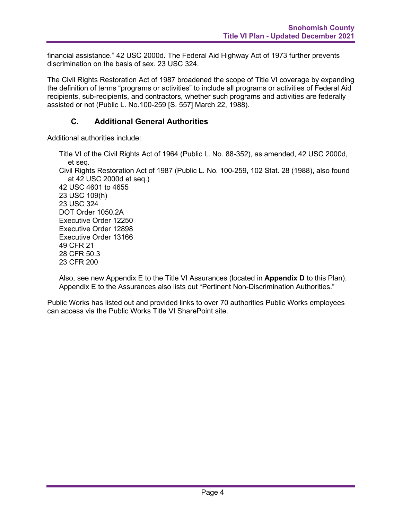financial assistance." 42 USC 2000d. The Federal Aid Highway Act of 1973 further prevents discrimination on the basis of sex. 23 USC 324.

The Civil Rights Restoration Act of 1987 broadened the scope of Title VI coverage by expanding the definition of terms "programs or activities" to include all programs or activities of Federal Aid recipients, sub-recipients, and contractors, whether such programs and activities are federally assisted or not (Public L. No.100-259 [S. 557] March 22, 1988).

#### **C. Additional General Authorities**

<span id="page-7-0"></span>Additional authorities include:

Title VI of the Civil Rights Act of 1964 (Public L. No. 88-352), as amended, 42 USC 2000d, et seq. Civil Rights Restoration Act of 1987 (Public L. No. 100-259, 102 Stat. 28 (1988), also found at 42 USC 2000d et seq.) 42 USC 4601 to 4655 23 USC 109(h) 23 USC 324 DOT Order 1050.2A Executive Order 12250 Executive Order 12898 Executive Order 13166 49 CFR 21 28 CFR 50.3 23 CFR 200

Also, see new Appendix E to the Title VI Assurances (located in **Appendix D** to this Plan). Appendix E to the Assurances also lists out "Pertinent Non-Discrimination Authorities."

Public Works has listed out and provided links to over 70 authorities Public Works employees can access via the Public Works Title VI SharePoint site.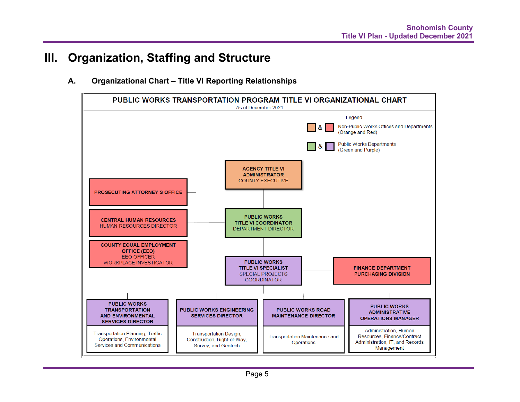## **III. Organization, Staffing and Structure**

**A. Organizational Chart – Title VI Reporting Relationships**

<span id="page-8-1"></span><span id="page-8-0"></span>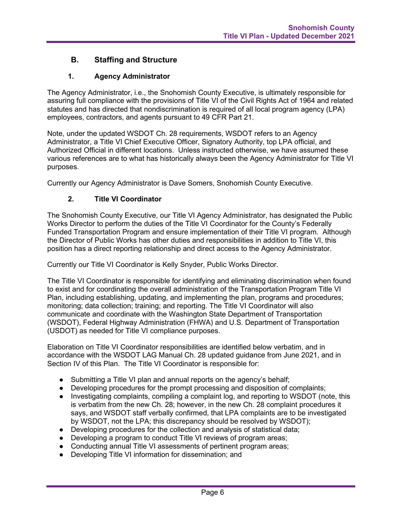#### <span id="page-9-0"></span>**B. Staffing and Structure**

#### **1. Agency Administrator**

The Agency Administrator, i.e., the Snohomish County Executive, is ultimately responsible for assuring full compliance with the provisions of Title VI of the Civil Rights Act of 1964 and related statutes and has directed that nondiscrimination is required of all local program agency (LPA) employees, contractors, and agents pursuant to 49 CFR Part 21.

Note, under the updated WSDOT Ch. 28 requirements, WSDOT refers to an Agency Administrator, a Title VI Chief Executive Officer, Signatory Authority, top LPA official, and Authorized Official in different locations. Unless instructed otherwise, we have assumed these various references are to what has historically always been the Agency Administrator for Title VI purposes.

Currently our Agency Administrator is Dave Somers, Snohomish County Executive.

#### **2. Title VI Coordinator**

The Snohomish County Executive, our Title VI Agency Administrator, has designated the Public Works Director to perform the duties of the Title VI Coordinator for the County's Federally Funded Transportation Program and ensure implementation of their Title VI program. Although the Director of Public Works has other duties and responsibilities in addition to Title VI, this position has a direct reporting relationship and direct access to the Agency Administrator.

Currently our Title VI Coordinator is Kelly Snyder, Public Works Director.

The Title VI Coordinator is responsible for identifying and eliminating discrimination when found to exist and for coordinating the overall administration of the Transportation Program Title VI Plan, including establishing, updating, and implementing the plan, programs and procedures; monitoring; data collection; training; and reporting. The Title VI Coordinator will also communicate and coordinate with the Washington State Department of Transportation (WSDOT), Federal Highway Administration (FHWA) and U.S. Department of Transportation (USDOT) as needed for Title VI compliance purposes.

Elaboration on Title VI Coordinator responsibilities are identified below verbatim, and in accordance with the WSDOT LAG Manual Ch. 28 updated guidance from June 2021, and in Section IV of this Plan. The Title VI Coordinator is responsible for:

- $\bullet$  Submitting a Title VI plan and annual reports on the agency's behalf;
- Developing procedures for the prompt processing and disposition of complaints;
- Investigating complaints, compiling a complaint log, and reporting to WSDOT (note, this is verbatim from the new Ch. 28; however, in the new Ch. 28 complaint procedures it says, and WSDOT staff verbally confirmed, that LPA complaints are to be investigated by WSDOT, not the LPA; this discrepancy should be resolved by WSDOT);
- Developing procedures for the collection and analysis of statistical data;
- Developing a program to conduct Title VI reviews of program areas;
- Conducting annual Title VI assessments of pertinent program areas;
- Developing Title VI information for dissemination; and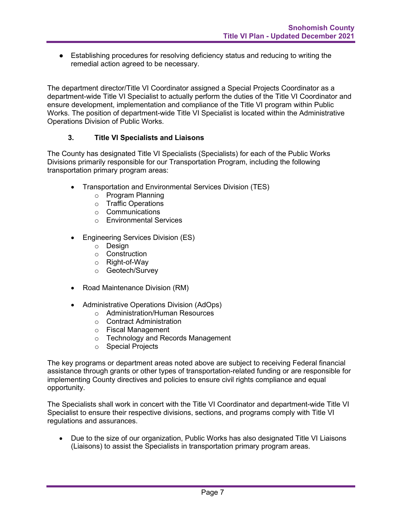● Establishing procedures for resolving deficiency status and reducing to writing the remedial action agreed to be necessary.

The department director/Title VI Coordinator assigned a Special Projects Coordinator as a department-wide Title VI Specialist to actually perform the duties of the Title VI Coordinator and ensure development, implementation and compliance of the Title VI program within Public Works. The position of department-wide Title VI Specialist is located within the Administrative Operations Division of Public Works.

#### **3. Title VI Specialists and Liaisons**

The County has designated Title VI Specialists (Specialists) for each of the Public Works Divisions primarily responsible for our Transportation Program, including the following transportation primary program areas:

- Transportation and Environmental Services Division (TES)
	- o Program Planning
	- o Traffic Operations
	- o Communications
	- o Environmental Services
- Engineering Services Division (ES)
	- o Design
	- o Construction
	- o Right-of-Way
	- o Geotech/Survey
- Road Maintenance Division (RM)
- Administrative Operations Division (AdOps)
	- o Administration/Human Resources
	- o Contract Administration
	- o Fiscal Management
	- o Technology and Records Management
	- o Special Projects

The key programs or department areas noted above are subject to receiving Federal financial assistance through grants or other types of transportation-related funding or are responsible for implementing County directives and policies to ensure civil rights compliance and equal opportunity.

The Specialists shall work in concert with the Title VI Coordinator and department-wide Title VI Specialist to ensure their respective divisions, sections, and programs comply with Title VI regulations and assurances.

• Due to the size of our organization, Public Works has also designated Title VI Liaisons (Liaisons) to assist the Specialists in transportation primary program areas.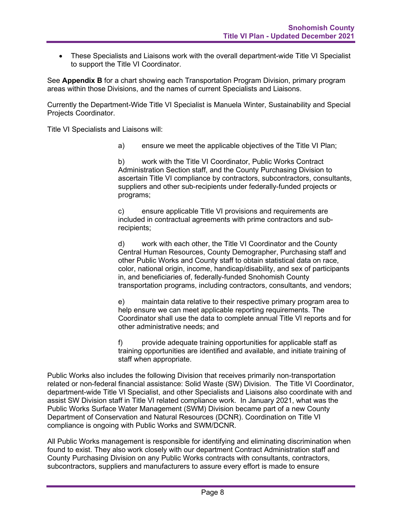• These Specialists and Liaisons work with the overall department-wide Title VI Specialist to support the Title VI Coordinator.

See **Appendix B** for a chart showing each Transportation Program Division, primary program areas within those Divisions, and the names of current Specialists and Liaisons.

Currently the Department-Wide Title VI Specialist is Manuela Winter, Sustainability and Special Projects Coordinator.

Title VI Specialists and Liaisons will:

a) ensure we meet the applicable objectives of the Title VI Plan;

b) work with the Title VI Coordinator, Public Works Contract Administration Section staff, and the County Purchasing Division to ascertain Title VI compliance by contractors, subcontractors, consultants, suppliers and other sub-recipients under federally-funded projects or programs;

c) ensure applicable Title VI provisions and requirements are included in contractual agreements with prime contractors and subrecipients;

d) work with each other, the Title VI Coordinator and the County Central Human Resources, County Demographer, Purchasing staff and other Public Works and County staff to obtain statistical data on race, color, national origin, income, handicap/disability, and sex of participants in, and beneficiaries of, federally-funded Snohomish County transportation programs, including contractors, consultants, and vendors;

e) maintain data relative to their respective primary program area to help ensure we can meet applicable reporting requirements. The Coordinator shall use the data to complete annual Title VI reports and for other administrative needs; and

f) provide adequate training opportunities for applicable staff as training opportunities are identified and available, and initiate training of staff when appropriate.

Public Works also includes the following Division that receives primarily non-transportation related or non-federal financial assistance: Solid Waste (SW) Division. The Title VI Coordinator, department-wide Title VI Specialist, and other Specialists and Liaisons also coordinate with and assist SW Division staff in Title VI related compliance work. In January 2021, what was the Public Works Surface Water Management (SWM) Division became part of a new County Department of Conservation and Natural Resources (DCNR). Coordination on Title VI compliance is ongoing with Public Works and SWM/DCNR.

All Public Works management is responsible for identifying and eliminating discrimination when found to exist. They also work closely with our department Contract Administration staff and County Purchasing Division on any Public Works contracts with consultants, contractors, subcontractors, suppliers and manufacturers to assure every effort is made to ensure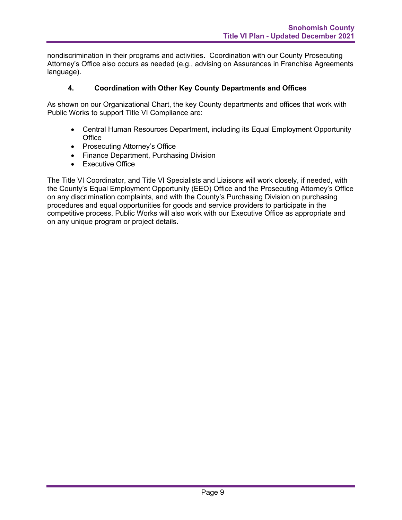nondiscrimination in their programs and activities. Coordination with our County Prosecuting Attorney's Office also occurs as needed (e.g., advising on Assurances in Franchise Agreements language).

#### **4. Coordination with Other Key County Departments and Offices**

As shown on our Organizational Chart, the key County departments and offices that work with Public Works to support Title VI Compliance are:

- Central Human Resources Department, including its Equal Employment Opportunity **Office**
- Prosecuting Attorney's Office
- Finance Department, Purchasing Division
- **Executive Office**

The Title VI Coordinator, and Title VI Specialists and Liaisons will work closely, if needed, with the County's Equal Employment Opportunity (EEO) Office and the Prosecuting Attorney's Office on any discrimination complaints, and with the County's Purchasing Division on purchasing procedures and equal opportunities for goods and service providers to participate in the competitive process. Public Works will also work with our Executive Office as appropriate and on any unique program or project details.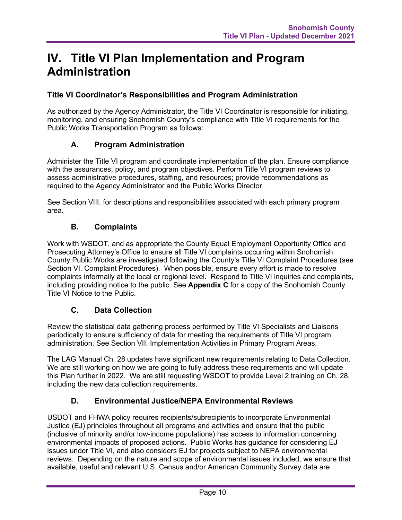## <span id="page-13-0"></span>**IV. Title VI Plan Implementation and Program Administration**

#### **Title VI Coordinator's Responsibilities and Program Administration**

As authorized by the Agency Administrator, the Title VI Coordinator is responsible for initiating, monitoring, and ensuring Snohomish County's compliance with Title VI requirements for the Public Works Transportation Program as follows:

#### **A. Program Administration**

<span id="page-13-1"></span>Administer the Title VI program and coordinate implementation of the plan. Ensure compliance with the assurances, policy, and program objectives. Perform Title VI program reviews to assess administrative procedures, staffing, and resources; provide recommendations as required to the Agency Administrator and the Public Works Director.

See Section VIII. for descriptions and responsibilities associated with each primary program area.

#### **B. Complaints**

<span id="page-13-2"></span>Work with WSDOT, and as appropriate the County Equal Employment Opportunity Office and Prosecuting Attorney's Office to ensure all Title VI complaints occurring within Snohomish County Public Works are investigated following the County's Title VI Complaint Procedures (see Section VI. Complaint Procedures). When possible, ensure every effort is made to resolve complaints informally at the local or regional level. Respond to Title VI inquiries and complaints, including providing notice to the public. See **Appendix C** for a copy of the Snohomish County Title VI Notice to the Public.

#### **C. Data Collection**

<span id="page-13-3"></span>Review the statistical data gathering process performed by Title VI Specialists and Liaisons periodically to ensure sufficiency of data for meeting the requirements of Title VI program administration. See Section VII. Implementation Activities in Primary Program Areas.

The LAG Manual Ch. 28 updates have significant new requirements relating to Data Collection. We are still working on how we are going to fully address these requirements and will update this Plan further in 2022. We are still requesting WSDOT to provide Level 2 training on Ch. 28, including the new data collection requirements.

#### **D. Environmental Justice/NEPA Environmental Reviews**

<span id="page-13-4"></span>USDOT and FHWA policy requires recipients/subrecipients to incorporate Environmental Justice (EJ) principles throughout all programs and activities and ensure that the public (inclusive of minority and/or low-income populations) has access to information concerning environmental impacts of proposed actions. Public Works has guidance for considering EJ issues under Title VI, and also considers EJ for projects subject to NEPA environmental reviews. Depending on the nature and scope of environmental issues included, we ensure that available, useful and relevant U.S. Census and/or American Community Survey data are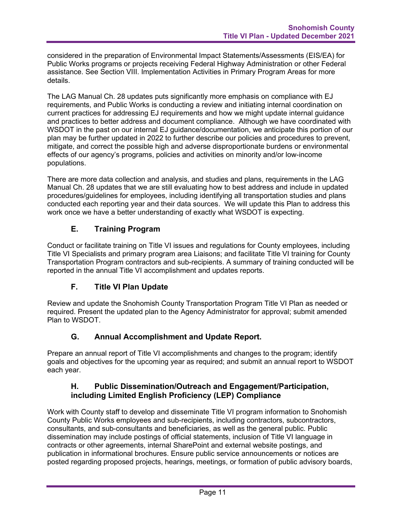considered in the preparation of Environmental Impact Statements/Assessments (EIS/EA) for Public Works programs or projects receiving Federal Highway Administration or other Federal assistance. See Section VIII. Implementation Activities in Primary Program Areas for more details.

The LAG Manual Ch. 28 updates puts significantly more emphasis on compliance with EJ requirements, and Public Works is conducting a review and initiating internal coordination on current practices for addressing EJ requirements and how we might update internal guidance and practices to better address and document compliance. Although we have coordinated with WSDOT in the past on our internal EJ guidance/documentation, we anticipate this portion of our plan may be further updated in 2022 to further describe our policies and procedures to prevent, mitigate, and correct the possible high and adverse disproportionate burdens or environmental effects of our agency's programs, policies and activities on minority and/or low-income populations.

There are more data collection and analysis, and studies and plans, requirements in the LAG Manual Ch. 28 updates that we are still evaluating how to best address and include in updated procedures/guidelines for employees, including identifying all transportation studies and plans conducted each reporting year and their data sources. We will update this Plan to address this work once we have a better understanding of exactly what WSDOT is expecting.

#### **E. Training Program**

<span id="page-14-0"></span>Conduct or facilitate training on Title VI issues and regulations for County employees, including Title VI Specialists and primary program area Liaisons; and facilitate Title VI training for County Transportation Program contractors and sub-recipients. A summary of training conducted will be reported in the annual Title VI accomplishment and updates reports.

#### **F. Title VI Plan Update**

<span id="page-14-1"></span>Review and update the Snohomish County Transportation Program Title VI Plan as needed or required. Present the updated plan to the Agency Administrator for approval; submit amended Plan to WSDOT.

#### **G. Annual Accomplishment and Update Report.**

<span id="page-14-2"></span>Prepare an annual report of Title VI accomplishments and changes to the program; identify goals and objectives for the upcoming year as required; and submit an annual report to WSDOT each year.

#### <span id="page-14-3"></span>**H. Public Dissemination/Outreach and Engagement/Participation, including Limited English Proficiency (LEP) Compliance**

Work with County staff to develop and disseminate Title VI program information to Snohomish County Public Works employees and sub-recipients, including contractors, subcontractors, consultants, and sub-consultants and beneficiaries, as well as the general public. Public dissemination may include postings of official statements, inclusion of Title VI language in contracts or other agreements, internal SharePoint and external website postings, and publication in informational brochures. Ensure public service announcements or notices are posted regarding proposed projects, hearings, meetings, or formation of public advisory boards,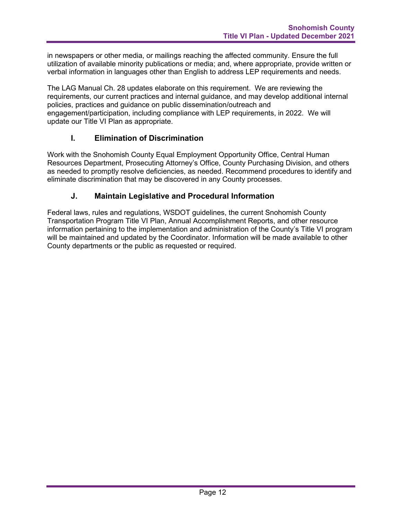in newspapers or other media, or mailings reaching the affected community. Ensure the full utilization of available minority publications or media; and, where appropriate, provide written or verbal information in languages other than English to address LEP requirements and needs.

The LAG Manual Ch. 28 updates elaborate on this requirement. We are reviewing the requirements, our current practices and internal guidance, and may develop additional internal policies, practices and guidance on public dissemination/outreach and engagement/participation, including compliance with LEP requirements, in 2022. We will update our Title VI Plan as appropriate.

#### **I. Elimination of Discrimination**

<span id="page-15-0"></span>Work with the Snohomish County Equal Employment Opportunity Office, Central Human Resources Department, Prosecuting Attorney's Office, County Purchasing Division, and others as needed to promptly resolve deficiencies, as needed. Recommend procedures to identify and eliminate discrimination that may be discovered in any County processes.

#### **J. Maintain Legislative and Procedural Information**

<span id="page-15-1"></span>Federal laws, rules and regulations, WSDOT guidelines, the current Snohomish County Transportation Program Title VI Plan, Annual Accomplishment Reports, and other resource information pertaining to the implementation and administration of the County's Title VI program will be maintained and updated by the Coordinator. Information will be made available to other County departments or the public as requested or required.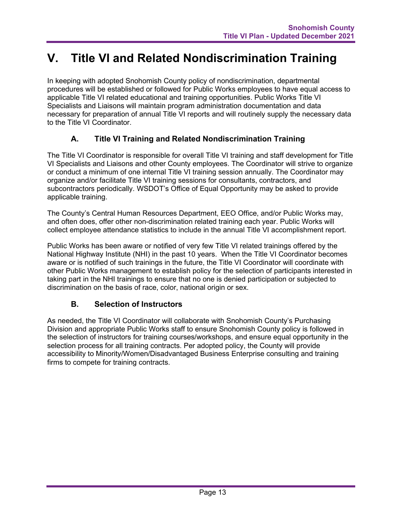## <span id="page-16-0"></span>**V. Title VI and Related Nondiscrimination Training**

In keeping with adopted Snohomish County policy of nondiscrimination, departmental procedures will be established or followed for Public Works employees to have equal access to applicable Title VI related educational and training opportunities. Public Works Title VI Specialists and Liaisons will maintain program administration documentation and data necessary for preparation of annual Title VI reports and will routinely supply the necessary data to the Title VI Coordinator.

#### **A. Title VI Training and Related Nondiscrimination Training**

<span id="page-16-1"></span>The Title VI Coordinator is responsible for overall Title VI training and staff development for Title VI Specialists and Liaisons and other County employees. The Coordinator will strive to organize or conduct a minimum of one internal Title VI training session annually. The Coordinator may organize and/or facilitate Title VI training sessions for consultants, contractors, and subcontractors periodically. WSDOT's Office of Equal Opportunity may be asked to provide applicable training.

The County's Central Human Resources Department, EEO Office, and/or Public Works may, and often does, offer other non-discrimination related training each year. Public Works will collect employee attendance statistics to include in the annual Title VI accomplishment report.

Public Works has been aware or notified of very few Title VI related trainings offered by the National Highway Institute (NHI) in the past 10 years. When the Title VI Coordinator becomes aware or is notified of such trainings in the future, the Title VI Coordinator will coordinate with other Public Works management to establish policy for the selection of participants interested in taking part in the NHI trainings to ensure that no one is denied participation or subjected to discrimination on the basis of race, color, national origin or sex.

#### **B. Selection of Instructors**

<span id="page-16-2"></span>As needed, the Title VI Coordinator will collaborate with Snohomish County's Purchasing Division and appropriate Public Works staff to ensure Snohomish County policy is followed in the selection of instructors for training courses/workshops, and ensure equal opportunity in the selection process for all training contracts. Per adopted policy, the County will provide accessibility to Minority/Women/Disadvantaged Business Enterprise consulting and training firms to compete for training contracts.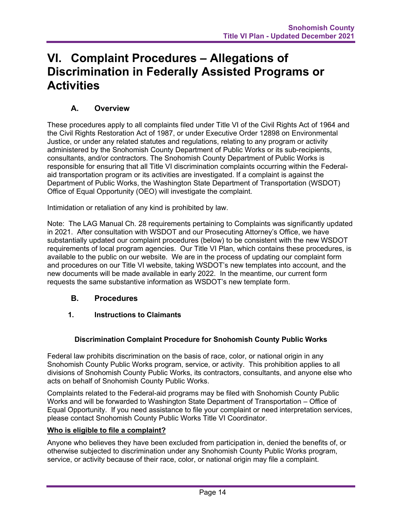## <span id="page-17-0"></span>**VI. Complaint Procedures – Allegations of Discrimination in Federally Assisted Programs or Activities**

#### **A. Overview**

<span id="page-17-1"></span>These procedures apply to all complaints filed under Title VI of the Civil Rights Act of 1964 and the Civil Rights Restoration Act of 1987, or under Executive Order 12898 on Environmental Justice, or under any related statutes and regulations, relating to any program or activity administered by the Snohomish County Department of Public Works or its sub-recipients, consultants, and/or contractors. The Snohomish County Department of Public Works is responsible for ensuring that all Title VI discrimination complaints occurring within the Federalaid transportation program or its activities are investigated. If a complaint is against the Department of Public Works, the Washington State Department of Transportation (WSDOT) Office of Equal Opportunity (OEO) will investigate the complaint.

Intimidation or retaliation of any kind is prohibited by law.

Note: The LAG Manual Ch. 28 requirements pertaining to Complaints was significantly updated in 2021. After consultation with WSDOT and our Prosecuting Attorney's Office, we have substantially updated our complaint procedures (below) to be consistent with the new WSDOT requirements of local program agencies. Our Title VI Plan, which contains these procedures, is available to the public on our website. We are in the process of updating our complaint form and procedures on our Title VI website, taking WSDOT's new templates into account, and the new documents will be made available in early 2022. In the meantime, our current form requests the same substantive information as WSDOT's new template form.

#### <span id="page-17-2"></span>**B. Procedures**

**1. Instructions to Claimants**

#### **Discrimination Complaint Procedure for Snohomish County Public Works**

Federal law prohibits discrimination on the basis of race, color, or national origin in any Snohomish County Public Works program, service, or activity. This prohibition applies to all divisions of Snohomish County Public Works, its contractors, consultants, and anyone else who acts on behalf of Snohomish County Public Works.

Complaints related to the Federal-aid programs may be filed with Snohomish County Public Works and will be forwarded to Washington State Department of Transportation – Office of Equal Opportunity. If you need assistance to file your complaint or need interpretation services, please contact Snohomish County Public Works Title VI Coordinator.

#### **Who is eligible to file a complaint?**

Anyone who believes they have been excluded from participation in, denied the benefits of, or otherwise subjected to discrimination under any Snohomish County Public Works program, service, or activity because of their race, color, or national origin may file a complaint.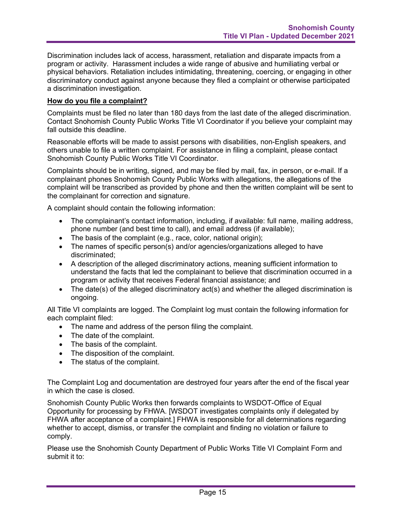Discrimination includes lack of access, harassment, retaliation and disparate impacts from a program or activity. Harassment includes a wide range of abusive and humiliating verbal or physical behaviors. Retaliation includes intimidating, threatening, coercing, or engaging in other discriminatory conduct against anyone because they filed a complaint or otherwise participated a discrimination investigation.

#### **How do you file a complaint?**

Complaints must be filed no later than 180 days from the last date of the alleged discrimination. Contact Snohomish County Public Works Title VI Coordinator if you believe your complaint may fall outside this deadline.

Reasonable efforts will be made to assist persons with disabilities, non-English speakers, and others unable to file a written complaint. For assistance in filing a complaint, please contact Snohomish County Public Works Title VI Coordinator.

Complaints should be in writing, signed, and may be filed by mail, fax, in person, or e-mail. If a complainant phones Snohomish County Public Works with allegations, the allegations of the complaint will be transcribed as provided by phone and then the written complaint will be sent to the complainant for correction and signature.

A complaint should contain the following information:

- The complainant's contact information, including, if available: full name, mailing address, phone number (and best time to call), and email address (if available);
- The basis of the complaint (e.g., race, color, national origin);
- The names of specific person(s) and/or agencies/organizations alleged to have discriminated;
- A description of the alleged discriminatory actions, meaning sufficient information to understand the facts that led the complainant to believe that discrimination occurred in a program or activity that receives Federal financial assistance; and
- The date(s) of the alleged discriminatory act(s) and whether the alleged discrimination is ongoing.

All Title VI complaints are logged. The Complaint log must contain the following information for each complaint filed:

- The name and address of the person filing the complaint.
- The date of the complaint.
- The basis of the complaint.
- The disposition of the complaint.
- The status of the complaint.

The Complaint Log and documentation are destroyed four years after the end of the fiscal year in which the case is closed.

Snohomish County Public Works then forwards complaints to WSDOT-Office of Equal Opportunity for processing by FHWA. [WSDOT investigates complaints only if delegated by FHWA after acceptance of a complaint.] FHWA is responsible for all determinations regarding whether to accept, dismiss, or transfer the complaint and finding no violation or failure to comply.

Please use the Snohomish County Department of Public Works Title VI Complaint Form and submit it to: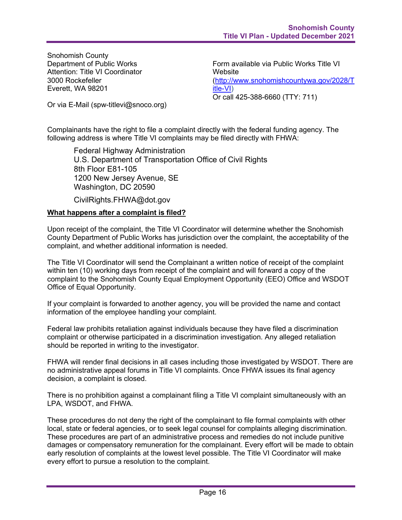Snohomish County Department of Public Works Attention: Title VI Coordinator 3000 Rockefeller Everett, WA 98201

Form available via Public Works Title VI **Website** [\(http://www.snohomishcountywa.gov/2028/T](http://www.snohomishcountywa.gov/2028/Title-VI) [itle-VI\)](http://www.snohomishcountywa.gov/2028/Title-VI) Or call 425-388-6660 (TTY: 711)

Or via E-Mail (spw-titlevi@snoco.org)

Complainants have the right to file a complaint directly with the federal funding agency. The following address is where Title VI complaints may be filed directly with FHWA:

Federal Highway Administration U.S. Department of Transportation Office of Civil Rights 8th Floor E81-105 1200 New Jersey Avenue, SE Washington, DC 20590

CivilRights.FHWA@dot.gov

#### **What happens after a complaint is filed?**

Upon receipt of the complaint, the Title VI Coordinator will determine whether the Snohomish County Department of Public Works has jurisdiction over the complaint, the acceptability of the complaint, and whether additional information is needed.

The Title VI Coordinator will send the Complainant a written notice of receipt of the complaint within ten (10) working days from receipt of the complaint and will forward a copy of the complaint to the Snohomish County Equal Employment Opportunity (EEO) Office and WSDOT Office of Equal Opportunity.

If your complaint is forwarded to another agency, you will be provided the name and contact information of the employee handling your complaint.

Federal law prohibits retaliation against individuals because they have filed a discrimination complaint or otherwise participated in a discrimination investigation. Any alleged retaliation should be reported in writing to the investigator.

FHWA will render final decisions in all cases including those investigated by WSDOT. There are no administrative appeal forums in Title VI complaints. Once FHWA issues its final agency decision, a complaint is closed.

There is no prohibition against a complainant filing a Title VI complaint simultaneously with an LPA, WSDOT, and FHWA.

These procedures do not deny the right of the complainant to file formal complaints with other local, state or federal agencies, or to seek legal counsel for complaints alleging discrimination. These procedures are part of an administrative process and remedies do not include punitive damages or compensatory remuneration for the complainant. Every effort will be made to obtain early resolution of complaints at the lowest level possible. The Title VI Coordinator will make every effort to pursue a resolution to the complaint.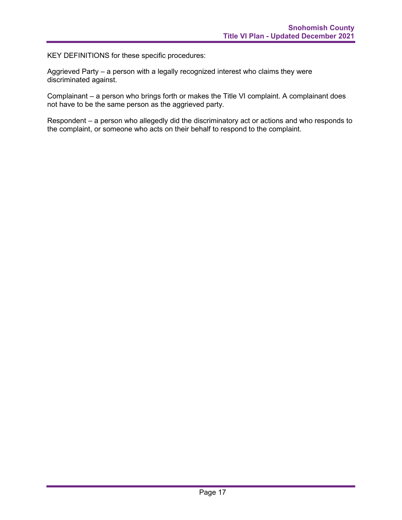KEY DEFINITIONS for these specific procedures:

Aggrieved Party – a person with a legally recognized interest who claims they were discriminated against.

Complainant – a person who brings forth or makes the Title VI complaint. A complainant does not have to be the same person as the aggrieved party.

Respondent – a person who allegedly did the discriminatory act or actions and who responds to the complaint, or someone who acts on their behalf to respond to the complaint.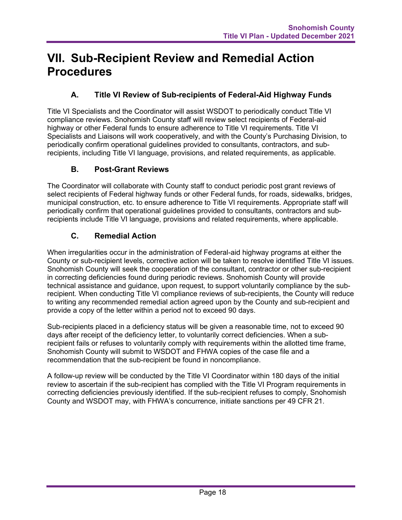## <span id="page-21-0"></span>**VII. Sub-Recipient Review and Remedial Action Procedures**

#### **A. Title VI Review of Sub-recipients of Federal-Aid Highway Funds**

<span id="page-21-1"></span>Title VI Specialists and the Coordinator will assist WSDOT to periodically conduct Title VI compliance reviews. Snohomish County staff will review select recipients of Federal-aid highway or other Federal funds to ensure adherence to Title VI requirements. Title VI Specialists and Liaisons will work cooperatively, and with the County's Purchasing Division, to periodically confirm operational guidelines provided to consultants, contractors, and subrecipients, including Title VI language, provisions, and related requirements, as applicable.

#### **B. Post-Grant Reviews**

<span id="page-21-2"></span>The Coordinator will collaborate with County staff to conduct periodic post grant reviews of select recipients of Federal highway funds or other Federal funds, for roads, sidewalks, bridges, municipal construction, etc. to ensure adherence to Title VI requirements. Appropriate staff will periodically confirm that operational guidelines provided to consultants, contractors and subrecipients include Title VI language, provisions and related requirements, where applicable.

#### **C. Remedial Action**

<span id="page-21-3"></span>When irregularities occur in the administration of Federal-aid highway programs at either the County or sub-recipient levels, corrective action will be taken to resolve identified Title VI issues. Snohomish County will seek the cooperation of the consultant, contractor or other sub-recipient in correcting deficiencies found during periodic reviews. Snohomish County will provide technical assistance and guidance, upon request, to support voluntarily compliance by the subrecipient. When conducting Title VI compliance reviews of sub-recipients, the County will reduce to writing any recommended remedial action agreed upon by the County and sub-recipient and provide a copy of the letter within a period not to exceed 90 days.

Sub-recipients placed in a deficiency status will be given a reasonable time, not to exceed 90 days after receipt of the deficiency letter, to voluntarily correct deficiencies. When a subrecipient fails or refuses to voluntarily comply with requirements within the allotted time frame, Snohomish County will submit to WSDOT and FHWA copies of the case file and a recommendation that the sub-recipient be found in noncompliance.

A follow-up review will be conducted by the Title VI Coordinator within 180 days of the initial review to ascertain if the sub-recipient has complied with the Title VI Program requirements in correcting deficiencies previously identified. If the sub-recipient refuses to comply, Snohomish County and WSDOT may, with FHWA's concurrence, initiate sanctions per 49 CFR 21.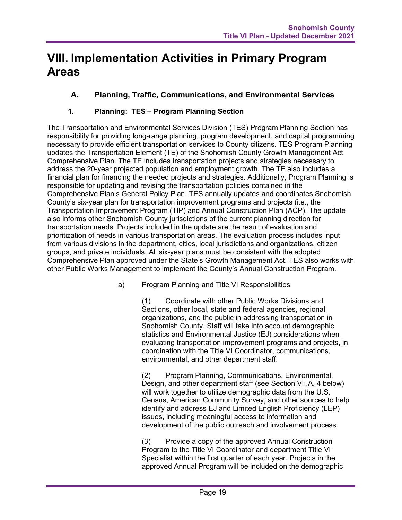## <span id="page-22-0"></span>**VIII. Implementation Activities in Primary Program Areas**

#### <span id="page-22-1"></span>**A. Planning, Traffic, Communications, and Environmental Services**

#### **1. Planning: TES – Program Planning Section**

The Transportation and Environmental Services Division (TES) Program Planning Section has responsibility for providing long-range planning, program development, and capital programming necessary to provide efficient transportation services to County citizens. TES Program Planning updates the Transportation Element (TE) of the Snohomish County Growth Management Act Comprehensive Plan. The TE includes transportation projects and strategies necessary to address the 20-year projected population and employment growth. The TE also includes a financial plan for financing the needed projects and strategies. Additionally, Program Planning is responsible for updating and revising the transportation policies contained in the Comprehensive Plan's General Policy Plan. TES annually updates and coordinates Snohomish County's six-year plan for transportation improvement programs and projects (i.e., the Transportation Improvement Program (TIP) and Annual Construction Plan (ACP). The update also informs other Snohomish County jurisdictions of the current planning direction for transportation needs. Projects included in the update are the result of evaluation and prioritization of needs in various transportation areas. The evaluation process includes input from various divisions in the department, cities, local jurisdictions and organizations, citizen groups, and private individuals. All six-year plans must be consistent with the adopted Comprehensive Plan approved under the State's Growth Management Act. TES also works with other Public Works Management to implement the County's Annual Construction Program.

a) Program Planning and Title VI Responsibilities

(1) Coordinate with other Public Works Divisions and Sections, other local, state and federal agencies, regional organizations, and the public in addressing transportation in Snohomish County. Staff will take into account demographic statistics and Environmental Justice (EJ) considerations when evaluating transportation improvement programs and projects, in coordination with the Title VI Coordinator, communications, environmental, and other department staff.

(2) Program Planning, Communications, Environmental, Design, and other department staff (see Section VII.A. 4 below) will work together to utilize demographic data from the U.S. Census, American Community Survey, and other sources to help identify and address EJ and Limited English Proficiency (LEP) issues, including meaningful access to information and development of the public outreach and involvement process.

(3) Provide a copy of the approved Annual Construction Program to the Title VI Coordinator and department Title VI Specialist within the first quarter of each year. Projects in the approved Annual Program will be included on the demographic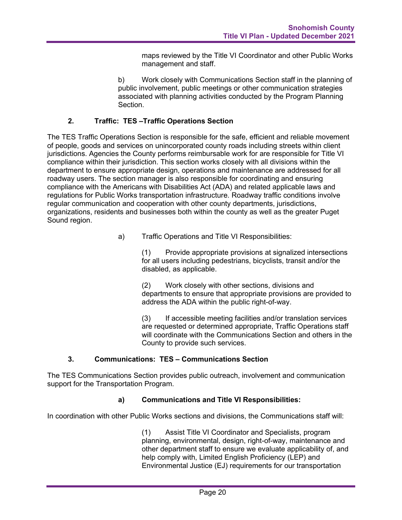maps reviewed by the Title VI Coordinator and other Public Works management and staff.

b) Work closely with Communications Section staff in the planning of public involvement, public meetings or other communication strategies associated with planning activities conducted by the Program Planning Section.

#### **2. Traffic: TES –Traffic Operations Section**

The TES Traffic Operations Section is responsible for the safe, efficient and reliable movement of people, goods and services on unincorporated county roads including streets within client jurisdictions. Agencies the County performs reimbursable work for are responsible for Title VI compliance within their jurisdiction. This section works closely with all divisions within the department to ensure appropriate design, operations and maintenance are addressed for all roadway users. The section manager is also responsible for coordinating and ensuring compliance with the Americans with Disabilities Act (ADA) and related applicable laws and regulations for Public Works transportation infrastructure. Roadway traffic conditions involve regular communication and cooperation with other county departments, jurisdictions, organizations, residents and businesses both within the county as well as the greater Puget Sound region.

a) Traffic Operations and Title VI Responsibilities:

(1) Provide appropriate provisions at signalized intersections for all users including pedestrians, bicyclists, transit and/or the disabled, as applicable.

(2) Work closely with other sections, divisions and departments to ensure that appropriate provisions are provided to address the ADA within the public right-of-way.

(3) If accessible meeting facilities and/or translation services are requested or determined appropriate, Traffic Operations staff will coordinate with the Communications Section and others in the County to provide such services.

#### **3. Communications: TES – Communications Section**

The TES Communications Section provides public outreach, involvement and communication support for the Transportation Program.

#### **a) Communications and Title VI Responsibilities:**

In coordination with other Public Works sections and divisions, the Communications staff will:

(1) Assist Title VI Coordinator and Specialists, program planning, environmental, design, right-of-way, maintenance and other department staff to ensure we evaluate applicability of, and help comply with, Limited English Proficiency (LEP) and Environmental Justice (EJ) requirements for our transportation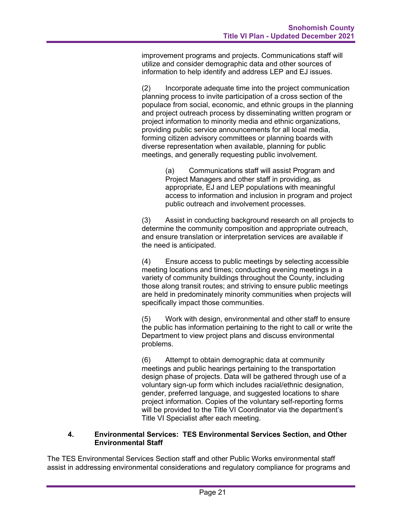improvement programs and projects. Communications staff will utilize and consider demographic data and other sources of information to help identify and address LEP and EJ issues.

(2) Incorporate adequate time into the project communication planning process to invite participation of a cross section of the populace from social, economic, and ethnic groups in the planning and project outreach process by disseminating written program or project information to minority media and ethnic organizations, providing public service announcements for all local media, forming citizen advisory committees or planning boards with diverse representation when available, planning for public meetings, and generally requesting public involvement.

> (a) Communications staff will assist Program and Project Managers and other staff in providing, as appropriate, EJ and LEP populations with meaningful access to information and inclusion in program and project public outreach and involvement processes.

(3) Assist in conducting background research on all projects to determine the community composition and appropriate outreach, and ensure translation or interpretation services are available if the need is anticipated.

(4) Ensure access to public meetings by selecting accessible meeting locations and times; conducting evening meetings in a variety of community buildings throughout the County, including those along transit routes; and striving to ensure public meetings are held in predominately minority communities when projects will specifically impact those communities.

(5) Work with design, environmental and other staff to ensure the public has information pertaining to the right to call or write the Department to view project plans and discuss environmental problems.

(6) Attempt to obtain demographic data at community meetings and public hearings pertaining to the transportation design phase of projects. Data will be gathered through use of a voluntary sign-up form which includes racial/ethnic designation, gender, preferred language, and suggested locations to share project information. Copies of the voluntary self-reporting forms will be provided to the Title VI Coordinator via the department's Title VI Specialist after each meeting.

#### **4. Environmental Services: TES Environmental Services Section, and Other Environmental Staff**

The TES Environmental Services Section staff and other Public Works environmental staff assist in addressing environmental considerations and regulatory compliance for programs and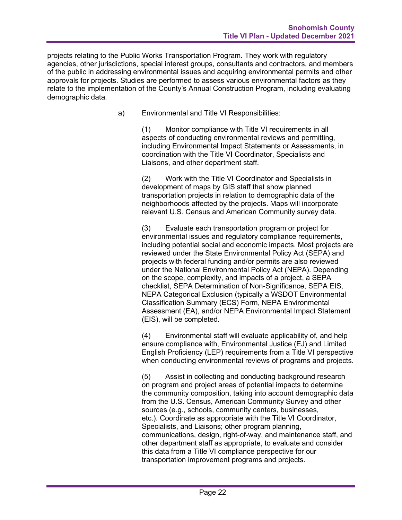projects relating to the Public Works Transportation Program. They work with regulatory agencies, other jurisdictions, special interest groups, consultants and contractors, and members of the public in addressing environmental issues and acquiring environmental permits and other approvals for projects. Studies are performed to assess various environmental factors as they relate to the implementation of the County's Annual Construction Program, including evaluating demographic data.

a) Environmental and Title VI Responsibilities:

(1) Monitor compliance with Title VI requirements in all aspects of conducting environmental reviews and permitting, including Environmental Impact Statements or Assessments, in coordination with the Title VI Coordinator, Specialists and Liaisons, and other department staff.

(2) Work with the Title VI Coordinator and Specialists in development of maps by GIS staff that show planned transportation projects in relation to demographic data of the neighborhoods affected by the projects. Maps will incorporate relevant U.S. Census and American Community survey data.

(3) Evaluate each transportation program or project for environmental issues and regulatory compliance requirements, including potential social and economic impacts. Most projects are reviewed under the State Environmental Policy Act (SEPA) and projects with federal funding and/or permits are also reviewed under the National Environmental Policy Act (NEPA). Depending on the scope, complexity, and impacts of a project, a SEPA checklist, SEPA Determination of Non-Significance, SEPA EIS, NEPA Categorical Exclusion (typically a WSDOT Environmental Classification Summary (ECS) Form, NEPA Environmental Assessment (EA), and/or NEPA Environmental Impact Statement (EIS), will be completed.

(4) Environmental staff will evaluate applicability of, and help ensure compliance with, Environmental Justice (EJ) and Limited English Proficiency (LEP) requirements from a Title VI perspective when conducting environmental reviews of programs and projects.

(5) Assist in collecting and conducting background research on program and project areas of potential impacts to determine the community composition, taking into account demographic data from the U.S. Census, American Community Survey and other sources (e.g., schools, community centers, businesses, etc.). Coordinate as appropriate with the Title VI Coordinator, Specialists, and Liaisons; other program planning, communications, design, right-of-way, and maintenance staff, and other department staff as appropriate, to evaluate and consider this data from a Title VI compliance perspective for our transportation improvement programs and projects.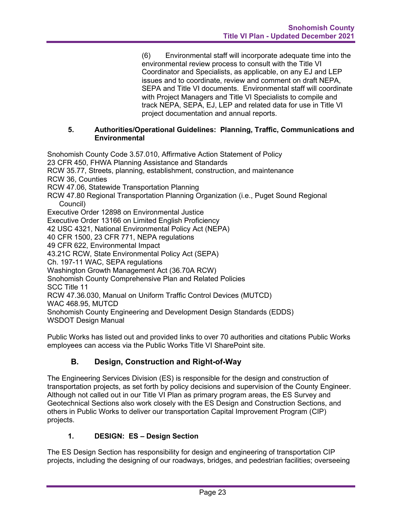(6) Environmental staff will incorporate adequate time into the environmental review process to consult with the Title VI Coordinator and Specialists, as applicable, on any EJ and LEP issues and to coordinate, review and comment on draft NEPA, SEPA and Title VI documents. Environmental staff will coordinate with Project Managers and Title VI Specialists to compile and track NEPA, SEPA, EJ, LEP and related data for use in Title VI project documentation and annual reports.

#### **5. Authorities/Operational Guidelines: Planning, Traffic, Communications and Environmental**

Snohomish County Code 3.57.010, Affirmative Action Statement of Policy 23 CFR 450, FHWA Planning Assistance and Standards RCW 35.77, Streets, planning, establishment, construction, and maintenance RCW 36, Counties RCW 47.06, Statewide Transportation Planning RCW 47.80 Regional Transportation Planning Organization (i.e., Puget Sound Regional Council) Executive Order 12898 on Environmental Justice Executive Order 13166 on Limited English Proficiency 42 USC 4321, National Environmental Policy Act (NEPA) 40 CFR 1500, 23 CFR 771, NEPA regulations 49 CFR 622, Environmental Impact 43.21C RCW, State Environmental Policy Act (SEPA) Ch. 197-11 WAC, SEPA regulations Washington Growth Management Act (36.70A RCW) Snohomish County Comprehensive Plan and Related Policies SCC Title 11 RCW 47.36.030, Manual on Uniform Traffic Control Devices (MUTCD) WAC 468.95, MUTCD Snohomish County Engineering and Development Design Standards (EDDS) WSDOT Design Manual

Public Works has listed out and provided links to over 70 authorities and citations Public Works employees can access via the Public Works Title VI SharePoint site.

#### **B. Design, Construction and Right-of-Way**

<span id="page-26-0"></span>The Engineering Services Division (ES) is responsible for the design and construction of transportation projects, as set forth by policy decisions and supervision of the County Engineer. Although not called out in our Title VI Plan as primary program areas, the ES Survey and Geotechnical Sections also work closely with the ES Design and Construction Sections, and others in Public Works to deliver our transportation Capital Improvement Program (CIP) projects.

#### **1. DESIGN: ES – Design Section**

The ES Design Section has responsibility for design and engineering of transportation CIP projects, including the designing of our roadways, bridges, and pedestrian facilities; overseeing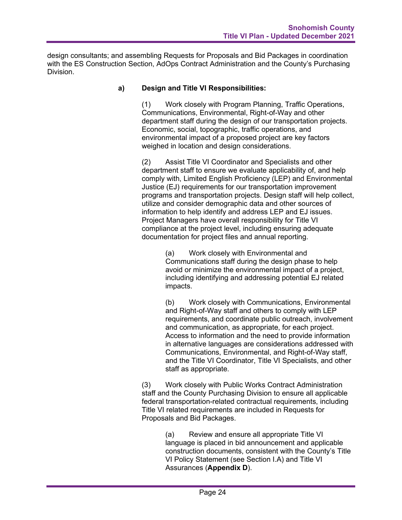design consultants; and assembling Requests for Proposals and Bid Packages in coordination with the ES Construction Section, AdOps Contract Administration and the County's Purchasing Division.

#### **a) Design and Title VI Responsibilities:**

(1) Work closely with Program Planning, Traffic Operations, Communications, Environmental, Right-of-Way and other department staff during the design of our transportation projects. Economic, social, topographic, traffic operations, and environmental impact of a proposed project are key factors weighed in location and design considerations.

(2) Assist Title VI Coordinator and Specialists and other department staff to ensure we evaluate applicability of, and help comply with, Limited English Proficiency (LEP) and Environmental Justice (EJ) requirements for our transportation improvement programs and transportation projects. Design staff will help collect, utilize and consider demographic data and other sources of information to help identify and address LEP and EJ issues. Project Managers have overall responsibility for Title VI compliance at the project level, including ensuring adequate documentation for project files and annual reporting.

> (a) Work closely with Environmental and Communications staff during the design phase to help avoid or minimize the environmental impact of a project, including identifying and addressing potential EJ related impacts.

(b) Work closely with Communications, Environmental and Right-of-Way staff and others to comply with LEP requirements, and coordinate public outreach, involvement and communication, as appropriate, for each project. Access to information and the need to provide information in alternative languages are considerations addressed with Communications, Environmental, and Right-of-Way staff, and the Title VI Coordinator, Title VI Specialists, and other staff as appropriate.

(3) Work closely with Public Works Contract Administration staff and the County Purchasing Division to ensure all applicable federal transportation-related contractual requirements, including Title VI related requirements are included in Requests for Proposals and Bid Packages.

> (a) Review and ensure all appropriate Title VI language is placed in bid announcement and applicable construction documents, consistent with the County's Title VI Policy Statement (see Section I.A) and Title VI Assurances (**Appendix D**).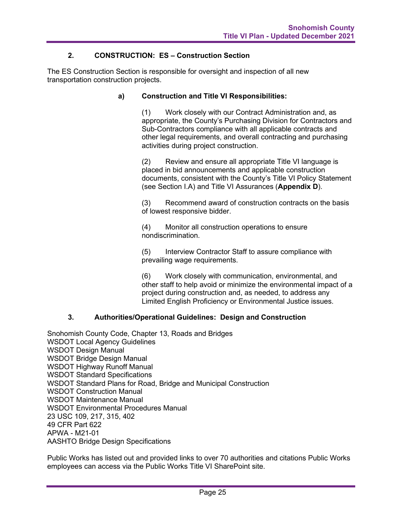#### **2. CONSTRUCTION: ES – Construction Section**

The ES Construction Section is responsible for oversight and inspection of all new transportation construction projects.

#### **a) Construction and Title VI Responsibilities:**

(1) Work closely with our Contract Administration and, as appropriate, the County's Purchasing Division for Contractors and Sub-Contractors compliance with all applicable contracts and other legal requirements, and overall contracting and purchasing activities during project construction.

(2) Review and ensure all appropriate Title VI language is placed in bid announcements and applicable construction documents, consistent with the County's Title VI Policy Statement (see Section I.A) and Title VI Assurances (**Appendix D**).

(3) Recommend award of construction contracts on the basis of lowest responsive bidder.

(4) Monitor all construction operations to ensure nondiscrimination.

(5) Interview Contractor Staff to assure compliance with prevailing wage requirements.

(6) Work closely with communication, environmental, and other staff to help avoid or minimize the environmental impact of a project during construction and, as needed, to address any Limited English Proficiency or Environmental Justice issues.

#### **3. Authorities/Operational Guidelines: Design and Construction**

Snohomish County Code, Chapter 13, Roads and Bridges WSDOT Local Agency Guidelines WSDOT Design Manual WSDOT Bridge Design Manual WSDOT Highway Runoff Manual WSDOT Standard Specifications WSDOT Standard Plans for Road, Bridge and Municipal Construction WSDOT Construction Manual WSDOT Maintenance Manual WSDOT Environmental Procedures Manual 23 USC 109, 217, 315, 402 49 CFR Part 622 APWA - M21-01 AASHTO Bridge Design Specifications

Public Works has listed out and provided links to over 70 authorities and citations Public Works employees can access via the Public Works Title VI SharePoint site.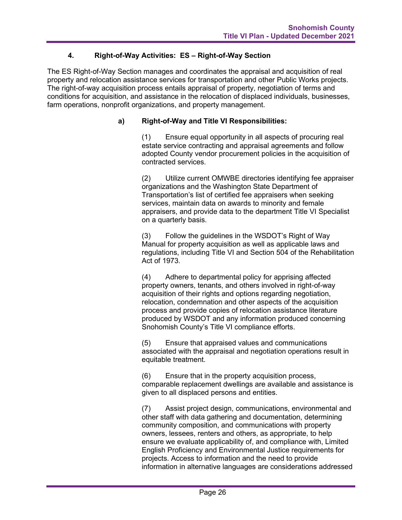#### **4. Right-of-Way Activities: ES – Right-of-Way Section**

The ES Right-of-Way Section manages and coordinates the appraisal and acquisition of real property and relocation assistance services for transportation and other Public Works projects. The right-of-way acquisition process entails appraisal of property, negotiation of terms and conditions for acquisition, and assistance in the relocation of displaced individuals, businesses, farm operations, nonprofit organizations, and property management.

#### **a) Right-of-Way and Title VI Responsibilities:**

(1) Ensure equal opportunity in all aspects of procuring real estate service contracting and appraisal agreements and follow adopted County vendor procurement policies in the acquisition of contracted services.

(2) Utilize current OMWBE directories identifying fee appraiser organizations and the Washington State Department of Transportation's list of certified fee appraisers when seeking services, maintain data on awards to minority and female appraisers, and provide data to the department Title VI Specialist on a quarterly basis.

(3) Follow the guidelines in the WSDOT's Right of Way Manual for property acquisition as well as applicable laws and regulations, including Title VI and Section 504 of the Rehabilitation Act of 1973.

(4) Adhere to departmental policy for apprising affected property owners, tenants, and others involved in right-of-way acquisition of their rights and options regarding negotiation, relocation, condemnation and other aspects of the acquisition process and provide copies of relocation assistance literature produced by WSDOT and any information produced concerning Snohomish County's Title VI compliance efforts.

(5) Ensure that appraised values and communications associated with the appraisal and negotiation operations result in equitable treatment.

(6) Ensure that in the property acquisition process, comparable replacement dwellings are available and assistance is given to all displaced persons and entities.

(7) Assist project design, communications, environmental and other staff with data gathering and documentation, determining community composition, and communications with property owners, lessees, renters and others, as appropriate, to help ensure we evaluate applicability of, and compliance with, Limited English Proficiency and Environmental Justice requirements for projects. Access to information and the need to provide information in alternative languages are considerations addressed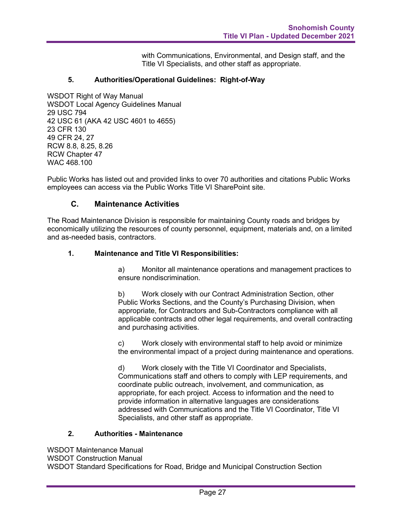with Communications, Environmental, and Design staff, and the Title VI Specialists, and other staff as appropriate.

#### **5. Authorities/Operational Guidelines: Right-of-Way**

WSDOT Right of Way Manual WSDOT Local Agency Guidelines Manual 29 USC 794 42 USC 61 (AKA 42 USC 4601 to 4655) 23 CFR 130 49 CFR 24, 27 RCW 8.8, 8.25, 8.26 RCW Chapter 47 WAC 468.100

Public Works has listed out and provided links to over 70 authorities and citations Public Works employees can access via the Public Works Title VI SharePoint site.

#### **C. Maintenance Activities**

<span id="page-30-0"></span>The Road Maintenance Division is responsible for maintaining County roads and bridges by economically utilizing the resources of county personnel, equipment, materials and, on a limited and as-needed basis, contractors.

#### **1. Maintenance and Title VI Responsibilities:**

a) Monitor all maintenance operations and management practices to ensure nondiscrimination.

b) Work closely with our Contract Administration Section, other Public Works Sections, and the County's Purchasing Division, when appropriate, for Contractors and Sub-Contractors compliance with all applicable contracts and other legal requirements, and overall contracting and purchasing activities.

c) Work closely with environmental staff to help avoid or minimize the environmental impact of a project during maintenance and operations.

d) Work closely with the Title VI Coordinator and Specialists, Communications staff and others to comply with LEP requirements, and coordinate public outreach, involvement, and communication, as appropriate, for each project. Access to information and the need to provide information in alternative languages are considerations addressed with Communications and the Title VI Coordinator, Title VI Specialists, and other staff as appropriate.

#### **2. Authorities - Maintenance**

WSDOT Maintenance Manual

WSDOT Construction Manual

WSDOT Standard Specifications for Road, Bridge and Municipal Construction Section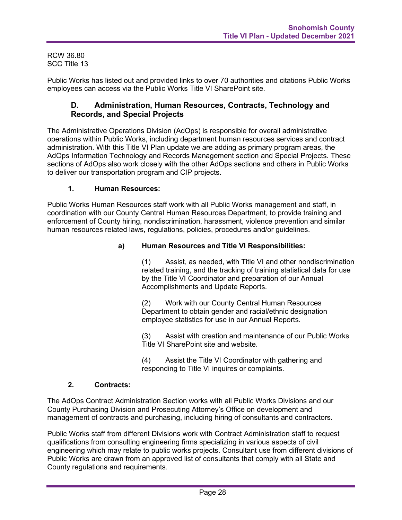RCW 36.80 SCC Title 13

Public Works has listed out and provided links to over 70 authorities and citations Public Works employees can access via the Public Works Title VI SharePoint site.

#### <span id="page-31-0"></span>**D. Administration, Human Resources, Contracts, Technology and Records, and Special Projects**

The Administrative Operations Division (AdOps) is responsible for overall administrative operations within Public Works, including department human resources services and contract administration. With this Title VI Plan update we are adding as primary program areas, the AdOps Information Technology and Records Management section and Special Projects. These sections of AdOps also work closely with the other AdOps sections and others in Public Works to deliver our transportation program and CIP projects.

#### **1. Human Resources:**

Public Works Human Resources staff work with all Public Works management and staff, in coordination with our County Central Human Resources Department, to provide training and enforcement of County hiring, nondiscrimination, harassment, violence prevention and similar human resources related laws, regulations, policies, procedures and/or guidelines.

#### **a) Human Resources and Title VI Responsibilities:**

(1) Assist, as needed, with Title VI and other nondiscrimination related training, and the tracking of training statistical data for use by the Title VI Coordinator and preparation of our Annual Accomplishments and Update Reports.

(2) Work with our County Central Human Resources Department to obtain gender and racial/ethnic designation employee statistics for use in our Annual Reports.

(3) Assist with creation and maintenance of our Public Works Title VI SharePoint site and website.

(4) Assist the Title VI Coordinator with gathering and responding to Title VI inquires or complaints.

#### **2. Contracts:**

The AdOps Contract Administration Section works with all Public Works Divisions and our County Purchasing Division and Prosecuting Attorney's Office on development and management of contracts and purchasing, including hiring of consultants and contractors.

Public Works staff from different Divisions work with Contract Administration staff to request qualifications from consulting engineering firms specializing in various aspects of civil engineering which may relate to public works projects. Consultant use from different divisions of Public Works are drawn from an approved list of consultants that comply with all State and County regulations and requirements.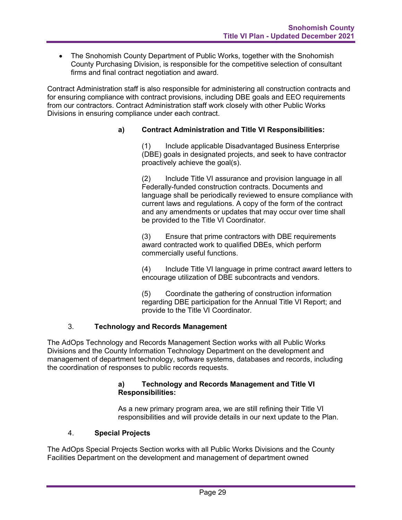• The Snohomish County Department of Public Works, together with the Snohomish County Purchasing Division, is responsible for the competitive selection of consultant firms and final contract negotiation and award.

Contract Administration staff is also responsible for administering all construction contracts and for ensuring compliance with contract provisions, including DBE goals and EEO requirements from our contractors. Contract Administration staff work closely with other Public Works Divisions in ensuring compliance under each contract.

#### **a) Contract Administration and Title VI Responsibilities:**

(1) Include applicable Disadvantaged Business Enterprise (DBE) goals in designated projects, and seek to have contractor proactively achieve the goal(s).

(2) Include Title VI assurance and provision language in all Federally-funded construction contracts. Documents and language shall be periodically reviewed to ensure compliance with current laws and regulations. A copy of the form of the contract and any amendments or updates that may occur over time shall be provided to the Title VI Coordinator.

(3) Ensure that prime contractors with DBE requirements award contracted work to qualified DBEs, which perform commercially useful functions.

(4) Include Title VI language in prime contract award letters to encourage utilization of DBE subcontracts and vendors.

(5) Coordinate the gathering of construction information regarding DBE participation for the Annual Title VI Report; and provide to the Title VI Coordinator.

#### 3. **Technology and Records Management**

The AdOps Technology and Records Management Section works with all Public Works Divisions and the County Information Technology Department on the development and management of department technology, software systems, databases and records, including the coordination of responses to public records requests.

#### **a) Technology and Records Management and Title VI Responsibilities:**

As a new primary program area, we are still refining their Title VI responsibilities and will provide details in our next update to the Plan.

#### 4. **Special Projects**

The AdOps Special Projects Section works with all Public Works Divisions and the County Facilities Department on the development and management of department owned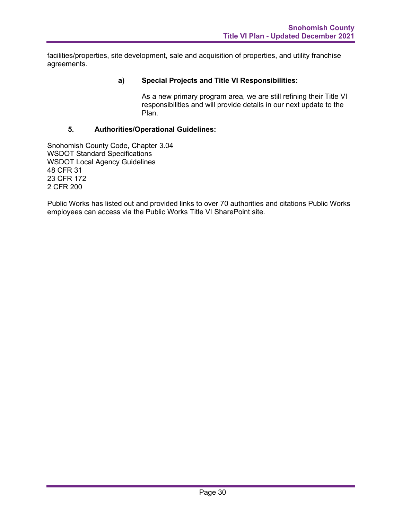facilities/properties, site development, sale and acquisition of properties, and utility franchise agreements.

#### **a) Special Projects and Title VI Responsibilities:**

As a new primary program area, we are still refining their Title VI responsibilities and will provide details in our next update to the Plan.

#### **5. Authorities/Operational Guidelines:**

Snohomish County Code, Chapter 3.04 WSDOT Standard Specifications WSDOT Local Agency Guidelines 48 CFR 31 23 CFR 172 2 CFR 200

Public Works has listed out and provided links to over 70 authorities and citations Public Works employees can access via the Public Works Title VI SharePoint site.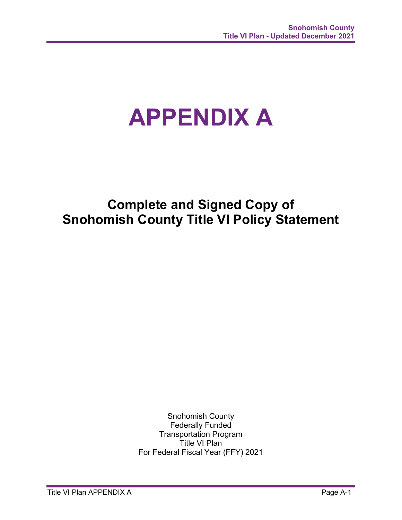## **APPENDIX A**

## **Complete and Signed Copy of Snohomish County Title VI Policy Statement**

Snohomish County Federally Funded Transportation Program Title VI Plan For Federal Fiscal Year (FFY) 2021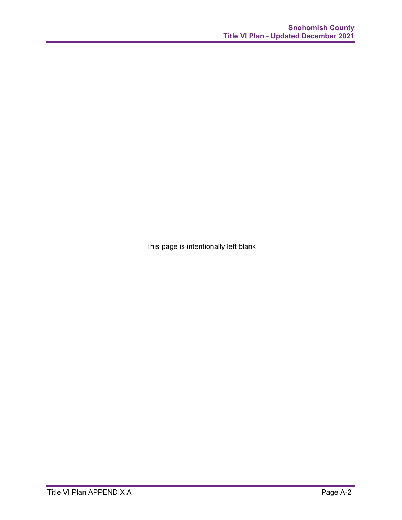This page is intentionally left blank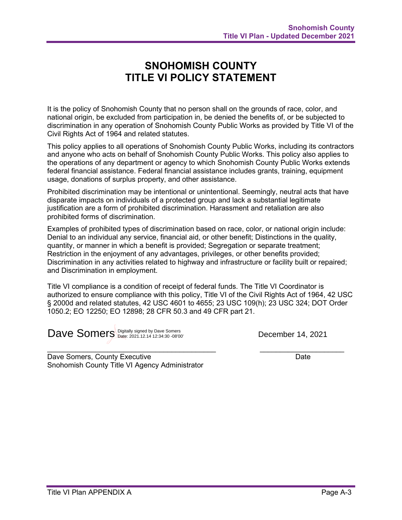### **SNOHOMISH COUNTY TITLE VI POLICY STATEMENT**

It is the policy of Snohomish County that no person shall on the grounds of race, color, and national origin, be excluded from participation in, be denied the benefits of, or be subjected to discrimination in any operation of Snohomish County Public Works as provided by Title VI of the Civil Rights Act of 1964 and related statutes.

This policy applies to all operations of Snohomish County Public Works, including its contractors and anyone who acts on behalf of Snohomish County Public Works. This policy also applies to the operations of any department or agency to which Snohomish County Public Works extends federal financial assistance. Federal financial assistance includes grants, training, equipment usage, donations of surplus property, and other assistance.

Prohibited discrimination may be intentional or unintentional. Seemingly, neutral acts that have disparate impacts on individuals of a protected group and lack a substantial legitimate justification are a form of prohibited discrimination. Harassment and retaliation are also prohibited forms of discrimination.

Examples of prohibited types of discrimination based on race, color, or national origin include: Denial to an individual any service, financial aid, or other benefit; Distinctions in the quality, quantity, or manner in which a benefit is provided; Segregation or separate treatment; Restriction in the enjoyment of any advantages, privileges, or other benefits provided; Discrimination in any activities related to highway and infrastructure or facility built or repaired; and Discrimination in employment.

Title VI compliance is a condition of receipt of federal funds. The Title VI Coordinator is authorized to ensure compliance with this policy, Title VI of the Civil Rights Act of 1964, 42 USC § 2000d and related statutes, 42 USC 4601 to 4655; 23 USC 109(h); 23 USC 324; DOT Order 1050.2; EO 12250; EO 12898; 28 CFR 50.3 and 49 CFR part 21.

Dave Somers Digitally signed by Dave Somers (2021, 2021) December 14, 2021

\_\_\_\_\_\_\_\_\_\_\_\_\_\_\_\_\_\_\_\_\_\_\_\_\_\_\_\_\_\_\_\_\_\_\_\_\_\_\_\_\_\_ \_\_\_\_\_\_\_\_\_\_\_\_\_\_\_\_\_\_\_\_\_ Dave Somers, County Executive **Date Access 1996** Date Date Snohomish County Title VI Agency Administrator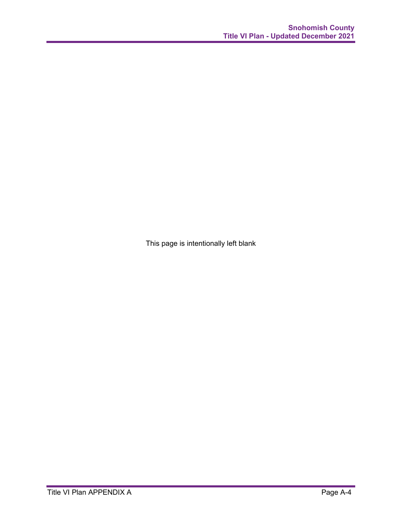This page is intentionally left blank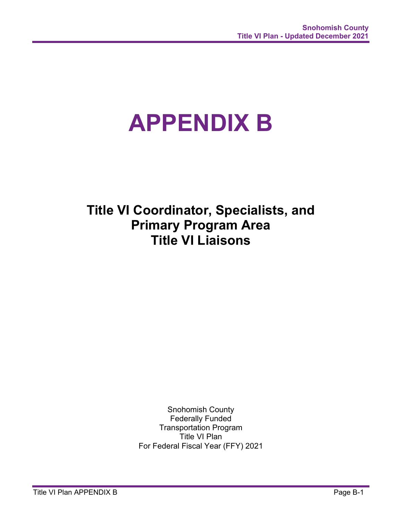## **APPENDIX B**

## **Title VI Coordinator, Specialists, and Primary Program Area Title VI Liaisons**

Snohomish County Federally Funded Transportation Program Title VI Plan For Federal Fiscal Year (FFY) 2021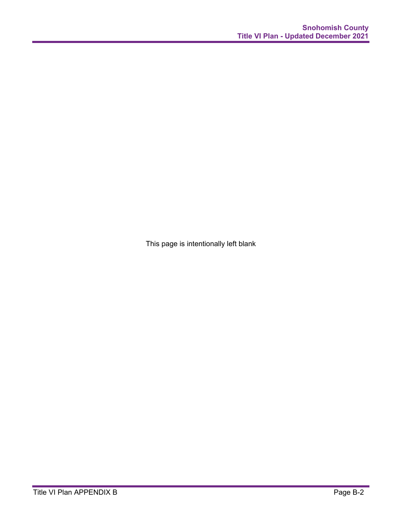This page is intentionally left blank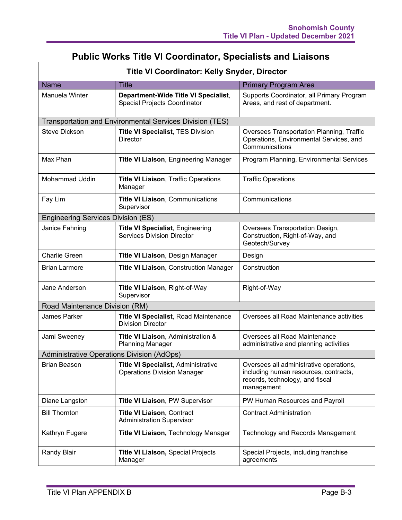### **Public Works Title VI Coordinator, Specialists and Liaisons**

| <b>Title VI Coordinator: Kelly Snyder, Director</b>      |                                                                              |                                                                                                                                   |  |  |  |  |  |  |
|----------------------------------------------------------|------------------------------------------------------------------------------|-----------------------------------------------------------------------------------------------------------------------------------|--|--|--|--|--|--|
| <b>Name</b>                                              | <b>Title</b>                                                                 | <b>Primary Program Area</b>                                                                                                       |  |  |  |  |  |  |
| Manuela Winter                                           | Department-Wide Title VI Specialist,<br><b>Special Projects Coordinator</b>  | Supports Coordinator, all Primary Program<br>Areas, and rest of department.                                                       |  |  |  |  |  |  |
| Transportation and Environmental Services Division (TES) |                                                                              |                                                                                                                                   |  |  |  |  |  |  |
| <b>Steve Dickson</b>                                     | <b>Title VI Specialist, TES Division</b><br><b>Director</b>                  | Oversees Transportation Planning, Traffic<br>Operations, Environmental Services, and<br>Communications                            |  |  |  |  |  |  |
| Max Phan                                                 | <b>Title VI Liaison, Engineering Manager</b>                                 | Program Planning, Environmental Services                                                                                          |  |  |  |  |  |  |
| <b>Mohammad Uddin</b>                                    | <b>Title VI Liaison, Traffic Operations</b><br>Manager                       | <b>Traffic Operations</b>                                                                                                         |  |  |  |  |  |  |
| Fay Lim                                                  | Title VI Liaison, Communications<br>Supervisor                               | Communications                                                                                                                    |  |  |  |  |  |  |
| <b>Engineering Services Division (ES)</b>                |                                                                              |                                                                                                                                   |  |  |  |  |  |  |
| Janice Fahning                                           | <b>Title VI Specialist, Engineering</b><br><b>Services Division Director</b> | Oversees Transportation Design,<br>Construction, Right-of-Way, and<br>Geotech/Survey                                              |  |  |  |  |  |  |
| Charlie Green                                            | Title VI Liaison, Design Manager                                             | Design                                                                                                                            |  |  |  |  |  |  |
| <b>Brian Larmore</b>                                     | <b>Title VI Liaison, Construction Manager</b>                                | Construction                                                                                                                      |  |  |  |  |  |  |
| Jane Anderson                                            | Title VI Liaison, Right-of-Way<br>Supervisor                                 | Right-of-Way                                                                                                                      |  |  |  |  |  |  |
| Road Maintenance Division (RM)                           |                                                                              |                                                                                                                                   |  |  |  |  |  |  |
| James Parker                                             | <b>Title VI Specialist, Road Maintenance</b><br><b>Division Director</b>     | Oversees all Road Maintenance activities                                                                                          |  |  |  |  |  |  |
| Jami Sweeney                                             | Title VI Liaison, Administration &<br><b>Planning Manager</b>                | Oversees all Road Maintenance<br>administrative and planning activities                                                           |  |  |  |  |  |  |
| Administrative Operations Division (AdOps)               |                                                                              |                                                                                                                                   |  |  |  |  |  |  |
| <b>Brian Beason</b>                                      | Title VI Specialist, Administrative<br><b>Operations Division Manager</b>    | Oversees all administrative operations,<br>including human resources, contracts,<br>records, technology, and fiscal<br>management |  |  |  |  |  |  |
| Diane Langston                                           | Title VI Liaison, PW Supervisor                                              | PW Human Resources and Payroll                                                                                                    |  |  |  |  |  |  |
| <b>Bill Thornton</b>                                     | <b>Title VI Liaison, Contract</b><br><b>Administration Supervisor</b>        | <b>Contract Administration</b>                                                                                                    |  |  |  |  |  |  |
| Kathryn Fugere                                           | Title VI Liaison, Technology Manager                                         | <b>Technology and Records Management</b>                                                                                          |  |  |  |  |  |  |
| <b>Randy Blair</b>                                       | <b>Title VI Liaison, Special Projects</b><br>Manager                         | Special Projects, including franchise<br>agreements                                                                               |  |  |  |  |  |  |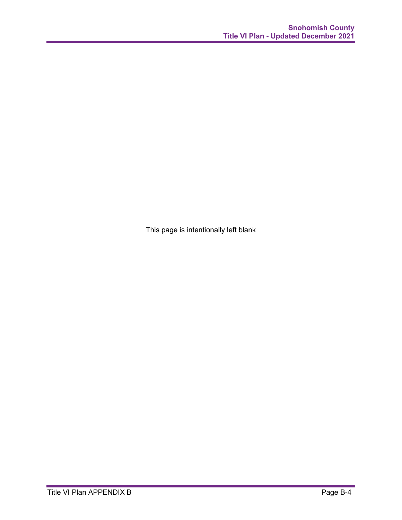This page is intentionally left blank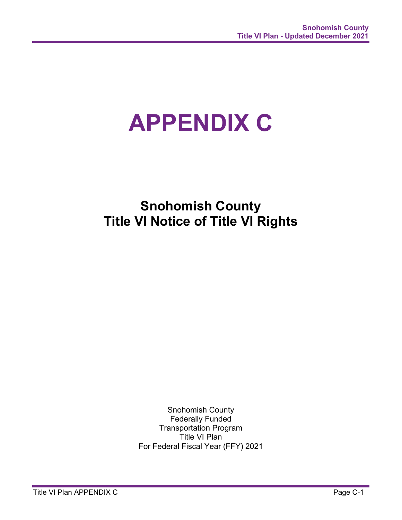## **APPENDIX C**

## **Snohomish County Title VI Notice of Title VI Rights**

Snohomish County Federally Funded Transportation Program Title VI Plan For Federal Fiscal Year (FFY) 2021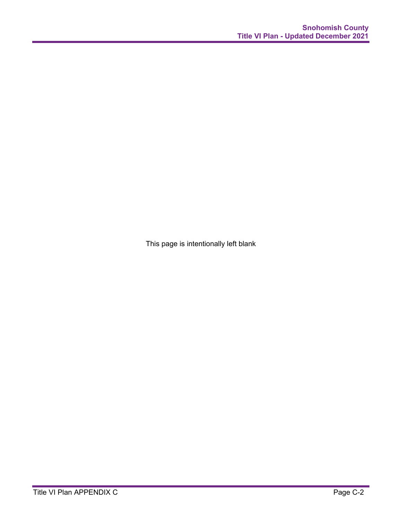This page is intentionally left blank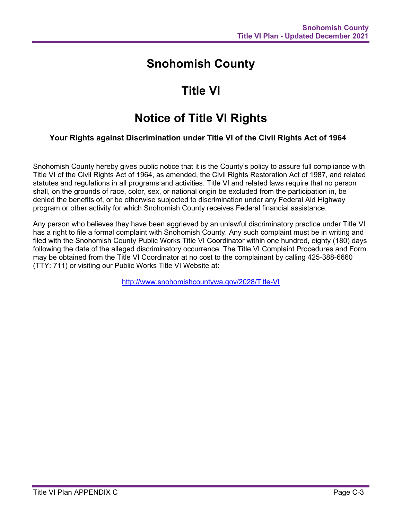## **Snohomish County**

## **Title VI**

## **Notice of Title VI Rights**

#### **Your Rights against Discrimination under Title VI of the Civil Rights Act of 1964**

Snohomish County hereby gives public notice that it is the County's policy to assure full compliance with Title VI of the Civil Rights Act of 1964, as amended, the Civil Rights Restoration Act of 1987, and related statutes and regulations in all programs and activities. Title VI and related laws require that no person shall, on the grounds of race, color, sex, or national origin be excluded from the participation in, be denied the benefits of, or be otherwise subjected to discrimination under any Federal Aid Highway program or other activity for which Snohomish County receives Federal financial assistance.

Any person who believes they have been aggrieved by an unlawful discriminatory practice under Title VI has a right to file a formal complaint with Snohomish County. Any such complaint must be in writing and filed with the Snohomish County Public Works Title VI Coordinator within one hundred, eighty (180) days following the date of the alleged discriminatory occurrence. The Title VI Complaint Procedures and Form may be obtained from the Title VI Coordinator at no cost to the complainant by calling 425-388-6660 (TTY: 711) or visiting our Public Works Title VI Website at:

<http://www.snohomishcountywa.gov/2028/Title-VI>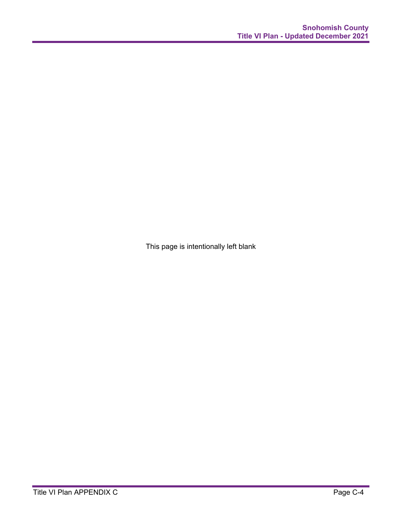This page is intentionally left blank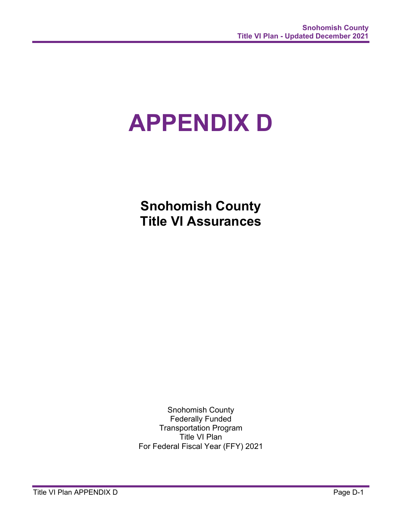## **APPENDIX D**

**Snohomish County Title VI Assurances**

Snohomish County Federally Funded Transportation Program Title VI Plan For Federal Fiscal Year (FFY) 2021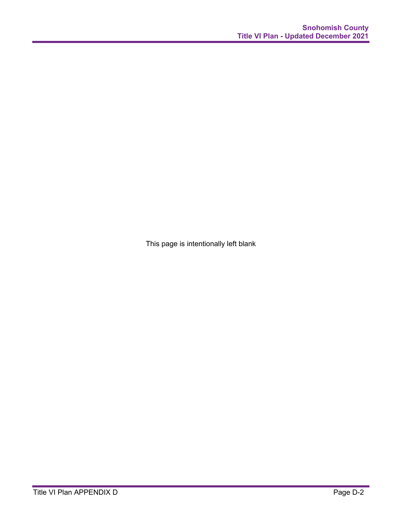This page is intentionally left blank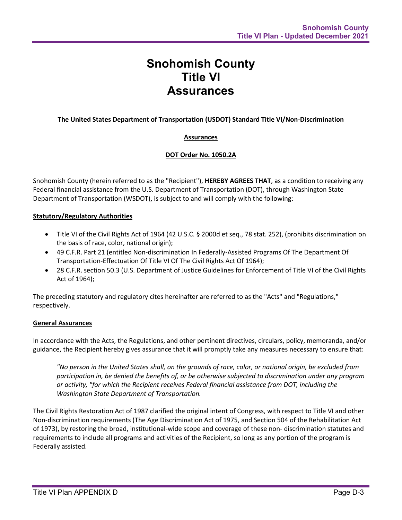## **Snohomish County Title VI Assurances**

#### **The United States Department of Transportation (USDOT) Standard Title VI/Non-Discrimination**

#### **Assurances**

#### **DOT Order No. 1050.2A**

Snohomish County (herein referred to as the "Recipient"), **HEREBY AGREES THAT**, as a condition to receiving any Federal financial assistance from the U.S. Department of Transportation (DOT), through Washington State Department of Transportation (WSDOT), is subject to and will comply with the following:

#### **Statutory/Regulatory Authorities**

- Title VI of the Civil Rights Act of 1964 (42 U.S.C. § 2000d et seq., 78 stat. 252), (prohibits discrimination on the basis of race, color, national origin);
- 49 C.F.R. Part 21 (entitled Non-discrimination In Federally-Assisted Programs Of The Department Of Transportation-Effectuation Of Title VI Of The Civil Rights Act Of 1964);
- 28 C.F.R. section 50.3 (U.S. Department of Justice Guidelines for Enforcement of Title VI of the Civil Rights Act of 1964);

The preceding statutory and regulatory cites hereinafter are referred to as the "Acts" and "Regulations," respectively.

#### **General Assurances**

In accordance with the Acts, the Regulations, and other pertinent directives, circulars, policy, memoranda, and/or guidance, the Recipient hereby gives assurance that it will promptly take any measures necessary to ensure that:

*"No person in the United States shall, on the grounds of race, color, or national origin, be excluded from participation in, be denied the benefits of, or be otherwise subjected to discrimination under any program or activity, "for which the Recipient receives Federal financial assistance from DOT, including the Washington State Department of Transportation.*

The Civil Rights Restoration Act of 1987 clarified the original intent of Congress, with respect to Title VI and other Non-discrimination requirements (The Age Discrimination Act of 1975, and Section 504 of the Rehabilitation Act of 1973), by restoring the broad, institutional-wide scope and coverage of these non- discrimination statutes and requirements to include all programs and activities of the Recipient, so long as any portion of the program is Federally assisted.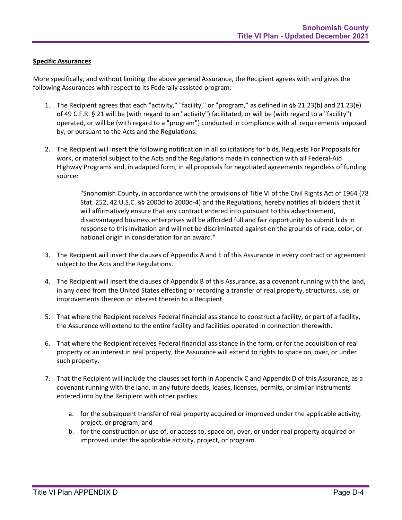#### **Specific Assurances**

More specifically, and without limiting the above general Assurance, the Recipient agrees with and gives the following Assurances with respect to its Federally assisted program:

- 1. The Recipient agrees that each "activity," "facility," or "program," as defined in §§ 21.23(b) and 21.23(e) of 49 C.F.R. § 21 will be (with regard to an "activity") facilitated, or will be (with regard to a "facility") operated, or will be (with regard to a "program") conducted in compliance with all requirements imposed by, or pursuant to the Acts and the Regulations.
- 2. The Recipient will insert the following notification in all solicitations for bids, Requests For Proposals for work, or material subject to the Acts and the Regulations made in connection with all Federal-Aid Highway Programs and, in adapted form, in all proposals for negotiated agreements regardless of funding source:

"Snohomish County, in accordance with the provisions of Title VI of the Civil Rights Act of 1964 (78 Stat. 252, 42 U.S.C. §§ 2000d to 2000d-4) and the Regulations, hereby notifies all bidders that it will affirmatively ensure that any contract entered into pursuant to this advertisement, disadvantaged business enterprises will be afforded full and fair opportunity to submit bids in response to this invitation and will not be discriminated against on the grounds of race, color, or national origin in consideration for an award."

- 3. The Recipient will insert the clauses of Appendix A and E of this Assurance in every contract or agreement subject to the Acts and the Regulations.
- 4. The Recipient will insert the clauses of Appendix B of this Assurance, as a covenant running with the land, in any deed from the United States effecting or recording a transfer of real property, structures, use, or improvements thereon or interest therein to a Recipient.
- 5. That where the Recipient receives Federal financial assistance to construct a facility, or part of a facility, the Assurance will extend to the entire facility and facilities operated in connection therewith.
- 6. That where the Recipient receives Federal financial assistance in the form, or for the acquisition of real property or an interest in real property, the Assurance will extend to rights to space on, over, or under such property.
- 7. That the Recipient will include the clauses set forth in Appendix C and Appendix D of this Assurance, as a covenant running with the land, in any future deeds, leases, licenses, permits, or similar instruments entered into by the Recipient with other parties:
	- a. for the subsequent transfer of real property acquired or improved under the applicable activity, project, or program; and
	- b. for the construction or use of, or access to, space on, over, or under real property acquired or improved under the applicable activity, project, or program.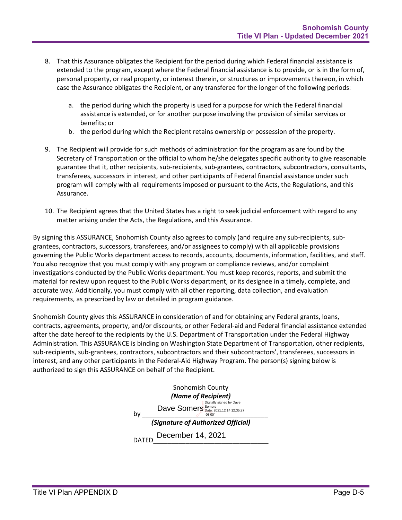- 8. That this Assurance obligates the Recipient for the period during which Federal financial assistance is extended to the program, except where the Federal financial assistance is to provide, or is in the form of, personal property, or real property, or interest therein, or structures or improvements thereon, in which case the Assurance obligates the Recipient, or any transferee for the longer of the following periods:
	- a. the period during which the property is used for a purpose for which the Federal financial assistance is extended, or for another purpose involving the provision of similar services or benefits; or
	- b. the period during which the Recipient retains ownership or possession of the property.
- 9. The Recipient will provide for such methods of administration for the program as are found by the Secretary of Transportation or the official to whom he/she delegates specific authority to give reasonable guarantee that it, other recipients, sub-recipients, sub-grantees, contractors, subcontractors, consultants, transferees, successors in interest, and other participants of Federal financial assistance under such program will comply with all requirements imposed or pursuant to the Acts, the Regulations, and this Assurance.
- 10. The Recipient agrees that the United States has a right to seek judicial enforcement with regard to any matter arising under the Acts, the Regulations, and this Assurance.

By signing this ASSURANCE, Snohomish County also agrees to comply (and require any sub-recipients, subgrantees, contractors, successors, transferees, and/or assignees to comply) with all applicable provisions governing the Public Works department access to records, accounts, documents, information, facilities, and staff. You also recognize that you must comply with any program or compliance reviews, and/or complaint investigations conducted by the Public Works department. You must keep records, reports, and submit the material for review upon request to the Public Works department, or its designee in a timely, complete, and accurate way. Additionally, you must comply with all other reporting, data collection, and evaluation requirements, as prescribed by law or detailed in program guidance.

Snohomish County gives this ASSURANCE in consideration of and for obtaining any Federal grants, loans, contracts, agreements, property, and/or discounts, or other Federal-aid and Federal financial assistance extended after the date hereof to the recipients by the U.S. Department of Transportation under the Federal Highway Administration. This ASSURANCE is binding on Washington State Department of Transportation, other recipients, sub-recipients, sub-grantees, contractors, subcontractors and their subcontractors', transferees, successors in interest, and any other participants in the Federal-Aid Highway Program. The person(s) signing below is authorized to sign this ASSURANCE on behalf of the Recipient.

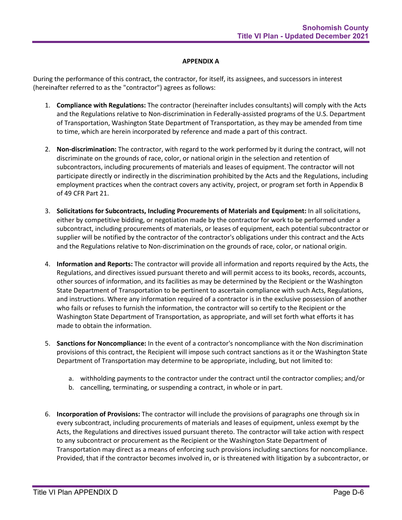#### **APPENDIX A**

During the performance of this contract, the contractor, for itself, its assignees, and successors in interest (hereinafter referred to as the "contractor") agrees as follows:

- 1. **Compliance with Regulations:** The contractor (hereinafter includes consultants) will comply with the Acts and the Regulations relative to Non-discrimination in Federally-assisted programs of the U.S. Department of Transportation, Washington State Department of Transportation, as they may be amended from time to time, which are herein incorporated by reference and made a part of this contract.
- 2. **Non-discrimination:** The contractor, with regard to the work performed by it during the contract, will not discriminate on the grounds of race, color, or national origin in the selection and retention of subcontractors, including procurements of materials and leases of equipment. The contractor will not participate directly or indirectly in the discrimination prohibited by the Acts and the Regulations, including employment practices when the contract covers any activity, project, or program set forth in Appendix B of 49 CFR Part 21.
- 3. **Solicitations for Subcontracts, Including Procurements of Materials and Equipment:** In all solicitations, either by competitive bidding, or negotiation made by the contractor for work to be performed under a subcontract, including procurements of materials, or leases of equipment, each potential subcontractor or supplier will be notified by the contractor of the contractor's obligations under this contract and the Acts and the Regulations relative to Non-discrimination on the grounds of race, color, or national origin.
- 4. **Information and Reports:** The contractor will provide all information and reports required by the Acts, the Regulations, and directives issued pursuant thereto and will permit access to its books, records, accounts, other sources of information, and its facilities as may be determined by the Recipient or the Washington State Department of Transportation to be pertinent to ascertain compliance with such Acts, Regulations, and instructions. Where any information required of a contractor is in the exclusive possession of another who fails or refuses to furnish the information, the contractor will so certify to the Recipient or the Washington State Department of Transportation, as appropriate, and will set forth what efforts it has made to obtain the information.
- 5. **Sanctions for Noncompliance:** In the event of a contractor's noncompliance with the Non discrimination provisions of this contract, the Recipient will impose such contract sanctions as it or the Washington State Department of Transportation may determine to be appropriate, including, but not limited to:
	- a. withholding payments to the contractor under the contract until the contractor complies; and/or
	- b. cancelling, terminating, or suspending a contract, in whole or in part.
- 6. **Incorporation of Provisions:** The contractor will include the provisions of paragraphs one through six in every subcontract, including procurements of materials and leases of equipment, unless exempt by the Acts, the Regulations and directives issued pursuant thereto. The contractor will take action with respect to any subcontract or procurement as the Recipient or the Washington State Department of Transportation may direct as a means of enforcing such provisions including sanctions for noncompliance. Provided, that if the contractor becomes involved in, or is threatened with litigation by a subcontractor, or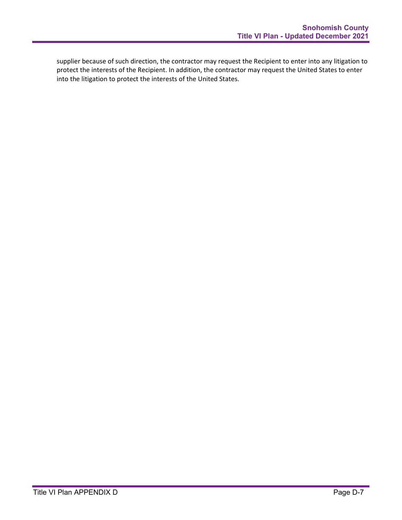supplier because of such direction, the contractor may request the Recipient to enter into any litigation to protect the interests of the Recipient. In addition, the contractor may request the United States to enter into the litigation to protect the interests of the United States.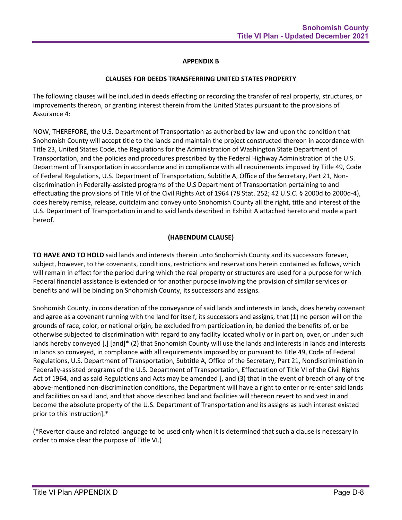#### **APPENDIX B**

#### **CLAUSES FOR DEEDS TRANSFERRING UNITED STATES PROPERTY**

The following clauses will be included in deeds effecting or recording the transfer of real property, structures, or improvements thereon, or granting interest therein from the United States pursuant to the provisions of Assurance 4:

NOW, THEREFORE, the U.S. Department of Transportation as authorized by law and upon the condition that Snohomish County will accept title to the lands and maintain the project constructed thereon in accordance with Title 23, United States Code, the Regulations for the Administration of Washington State Department of Transportation, and the policies and procedures prescribed by the Federal Highway Administration of the U.S. Department of Transportation in accordance and in compliance with all requirements imposed by Title 49, Code of Federal Regulations, U.S. Department of Transportation, Subtitle A, Office of the Secretary, Part 21, Nondiscrimination in Federally-assisted programs of the U.S Department of Transportation pertaining to and effectuating the provisions of Title VI of the Civil Rights Act of 1964 (78 Stat. 252; 42 U.S.C. § 2000d to 2000d-4), does hereby remise, release, quitclaim and convey unto Snohomish County all the right, title and interest of the U.S. Department of Transportation in and to said lands described in Exhibit A attached hereto and made a part hereof.

#### **(HABENDUM CLAUSE)**

**TO HAVE AND TO HOLD** said lands and interests therein unto Snohomish County and its successors forever, subject, however, to the covenants, conditions, restrictions and reservations herein contained as follows, which will remain in effect for the period during which the real property or structures are used for a purpose for which Federal financial assistance is extended or for another purpose involving the provision of similar services or benefits and will be binding on Snohomish County, its successors and assigns.

Snohomish County, in consideration of the conveyance of said lands and interests in lands, does hereby covenant and agree as a covenant running with the land for itself, its successors and assigns, that (1) no person will on the grounds of race, color, or national origin, be excluded from participation in, be denied the benefits of, or be otherwise subjected to discrimination with regard to any facility located wholly or in part on, over, or under such lands hereby conveyed [,] [and]\* (2) that Snohomish County will use the lands and interests in lands and interests in lands so conveyed, in compliance with all requirements imposed by or pursuant to Title 49, Code of Federal Regulations, U.S. Department of Transportation, Subtitle A, Office of the Secretary, Part 21, Nondiscrimination in Federally-assisted programs of the U.S. Department of Transportation, Effectuation of Title VI of the Civil Rights Act of 1964, and as said Regulations and Acts may be amended [, and (3) that in the event of breach of any of the above-mentioned non-discrimination conditions, the Department will have a right to enter or re-enter said lands and facilities on said land, and that above described land and facilities will thereon revert to and vest in and become the absolute property of the U.S. Department of Transportation and its assigns as such interest existed prior to this instruction].\*

(\*Reverter clause and related language to be used only when it is determined that such a clause is necessary in order to make clear the purpose of Title VI.)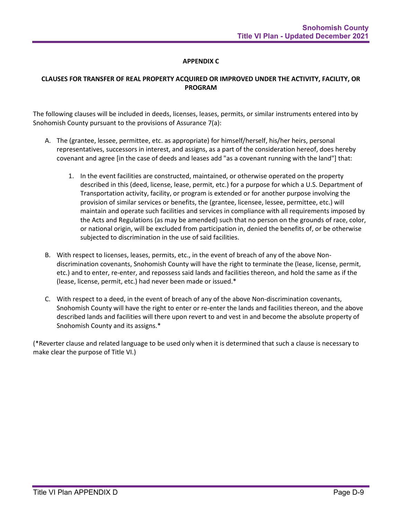#### **APPENDIX C**

#### **CLAUSES FOR TRANSFER OF REAL PROPERTY ACQUIRED OR IMPROVED UNDER THE ACTIVITY, FACILITY, OR PROGRAM**

The following clauses will be included in deeds, licenses, leases, permits, or similar instruments entered into by Snohomish County pursuant to the provisions of Assurance 7(a):

- A. The (grantee, lessee, permittee, etc. as appropriate) for himself/herself, his/her heirs, personal representatives, successors in interest, and assigns, as a part of the consideration hereof, does hereby covenant and agree [in the case of deeds and leases add "as a covenant running with the land"] that:
	- 1. In the event facilities are constructed, maintained, or otherwise operated on the property described in this (deed, license, lease, permit, etc.) for a purpose for which a U.S. Department of Transportation activity, facility, or program is extended or for another purpose involving the provision of similar services or benefits, the (grantee, licensee, lessee, permittee, etc.) will maintain and operate such facilities and services in compliance with all requirements imposed by the Acts and Regulations (as may be amended) such that no person on the grounds of race, color, or national origin, will be excluded from participation in, denied the benefits of, or be otherwise subjected to discrimination in the use of said facilities.
- B. With respect to licenses, leases, permits, etc., in the event of breach of any of the above Nondiscrimination covenants, Snohomish County will have the right to terminate the (lease, license, permit, etc.) and to enter, re-enter, and repossess said lands and facilities thereon, and hold the same as if the (lease, license, permit, etc.) had never been made or issued.\*
- C. With respect to a deed, in the event of breach of any of the above Non-discrimination covenants, Snohomish County will have the right to enter or re-enter the lands and facilities thereon, and the above described lands and facilities will there upon revert to and vest in and become the absolute property of Snohomish County and its assigns.\*

(\*Reverter clause and related language to be used only when it is determined that such a clause is necessary to make clear the purpose of Title VI.)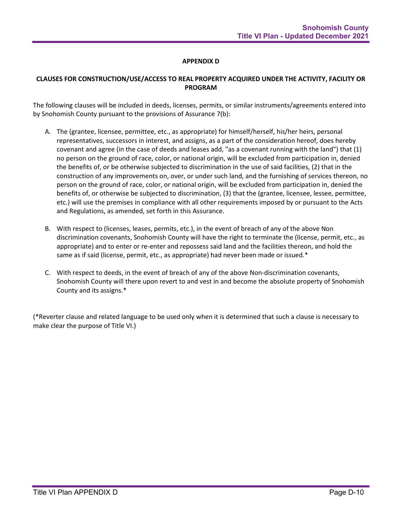#### **APPENDIX D**

#### **CLAUSES FOR CONSTRUCTION/USE/ACCESS TO REAL PROPERTY ACQUIRED UNDER THE ACTIVITY, FACILITY OR PROGRAM**

The following clauses will be included in deeds, licenses, permits, or similar instruments/agreements entered into by Snohomish County pursuant to the provisions of Assurance 7(b):

- A. The (grantee, licensee, permittee, etc., as appropriate) for himself/herself, his/her heirs, personal representatives, successors in interest, and assigns, as a part of the consideration hereof, does hereby covenant and agree (in the case of deeds and leases add, "as a covenant running with the land") that (1) no person on the ground of race, color, or national origin, will be excluded from participation in, denied the benefits of, or be otherwise subjected to discrimination in the use of said facilities, (2) that in the construction of any improvements on, over, or under such land, and the furnishing of services thereon, no person on the ground of race, color, or national origin, will be excluded from participation in, denied the benefits of, or otherwise be subjected to discrimination, (3) that the (grantee, licensee, lessee, permittee, etc.) will use the premises in compliance with all other requirements imposed by or pursuant to the Acts and Regulations, as amended, set forth in this Assurance.
- B. With respect to (licenses, leases, permits, etc.), in the event of breach of any of the above Non discrimination covenants, Snohomish County will have the right to terminate the (license, permit, etc., as appropriate) and to enter or re-enter and repossess said land and the facilities thereon, and hold the same as if said (license, permit, etc., as appropriate) had never been made or issued.\*
- C. With respect to deeds, in the event of breach of any of the above Non-discrimination covenants, Snohomish County will there upon revert to and vest in and become the absolute property of Snohomish County and its assigns.\*

(\*Reverter clause and related language to be used only when it is determined that such a clause is necessary to make clear the purpose of Title VI.)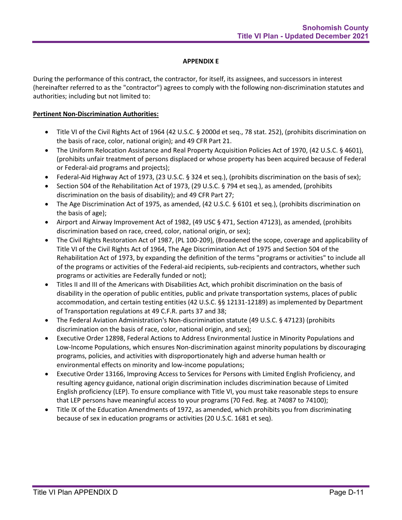#### **APPENDIX E**

During the performance of this contract, the contractor, for itself, its assignees, and successors in interest (hereinafter referred to as the "contractor") agrees to comply with the following non-discrimination statutes and authorities; including but not limited to:

#### **Pertinent Non-Discrimination Authorities:**

- Title VI of the Civil Rights Act of 1964 (42 U.S.C. § 2000d et seq., 78 stat. 252), (prohibits discrimination on the basis of race, color, national origin); and 49 CFR Part 21.
- The Uniform Relocation Assistance and Real Property Acquisition Policies Act of 1970, (42 U.S.C. § 4601), (prohibits unfair treatment of persons displaced or whose property has been acquired because of Federal or Federal-aid programs and projects);
- Federal-Aid Highway Act of 1973, (23 U.S.C. § 324 et seq.), (prohibits discrimination on the basis of sex);
- Section 504 of the Rehabilitation Act of 1973, (29 U.S.C. § 794 et seq.), as amended, (prohibits discrimination on the basis of disability); and 49 CFR Part 27;
- The Age Discrimination Act of 1975, as amended, (42 U.S.C. § 6101 et seq.), (prohibits discrimination on the basis of age);
- Airport and Airway Improvement Act of 1982, (49 USC § 471, Section 47123), as amended, (prohibits discrimination based on race, creed, color, national origin, or sex);
- The Civil Rights Restoration Act of 1987, (PL 100-209), (Broadened the scope, coverage and applicability of Title VI of the Civil Rights Act of 1964, The Age Discrimination Act of 1975 and Section 504 of the Rehabilitation Act of 1973, by expanding the definition of the terms "programs or activities" to include all of the programs or activities of the Federal-aid recipients, sub-recipients and contractors, whether such programs or activities are Federally funded or not);
- Titles II and III of the Americans with Disabilities Act, which prohibit discrimination on the basis of disability in the operation of public entities, public and private transportation systems, places of public accommodation, and certain testing entities (42 U.S.C. §§ 12131-12189) as implemented by Department of Transportation regulations at 49 C.F.R. parts 37 and 38;
- The Federal Aviation Administration's Non-discrimination statute (49 U.S.C. § 47123) (prohibits discrimination on the basis of race, color, national origin, and sex);
- Executive Order 12898, Federal Actions to Address Environmental Justice in Minority Populations and Low-Income Populations, which ensures Non-discrimination against minority populations by discouraging programs, policies, and activities with disproportionately high and adverse human health or environmental effects on minority and low-income populations;
- Executive Order 13166, Improving Access to Services for Persons with Limited English Proficiency, and resulting agency guidance, national origin discrimination includes discrimination because of Limited English proficiency (LEP). To ensure compliance with Title VI, you must take reasonable steps to ensure that LEP persons have meaningful access to your programs (70 Fed. Reg. at 74087 to 74100);
- Title IX of the Education Amendments of 1972, as amended, which prohibits you from discriminating because of sex in education programs or activities (20 U.S.C. 1681 et seq).